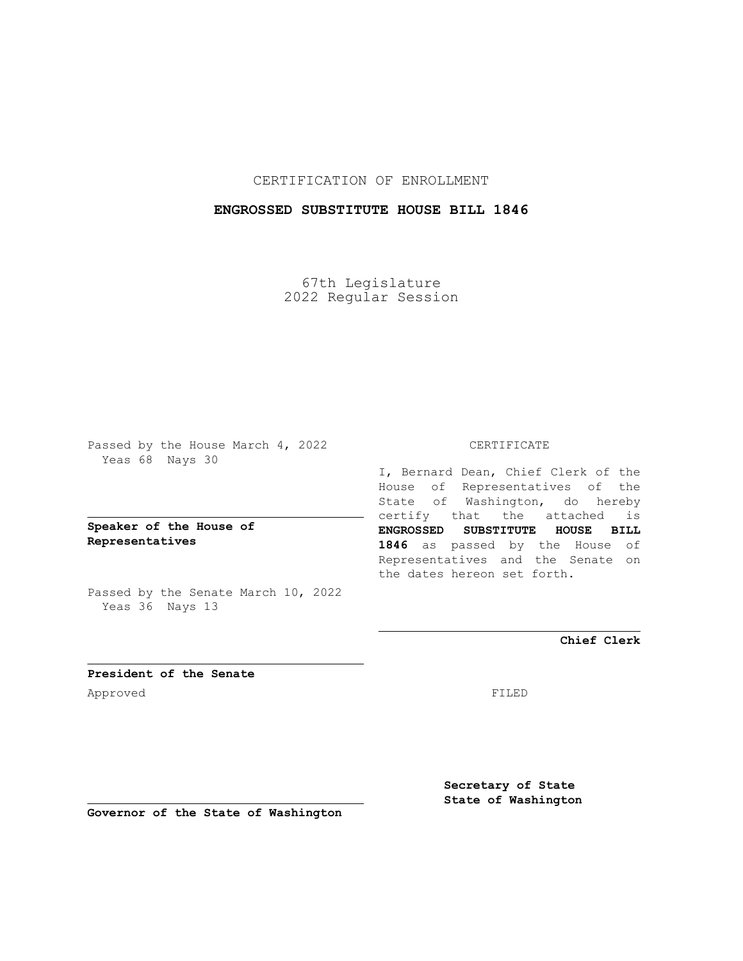CERTIFICATION OF ENROLLMENT

## **ENGROSSED SUBSTITUTE HOUSE BILL 1846**

67th Legislature 2022 Regular Session

Passed by the House March 4, 2022 Yeas 68 Nays 30

## **Speaker of the House of Representatives**

Passed by the Senate March 10, 2022 Yeas 36 Nays 13

## CERTIFICATE

I, Bernard Dean, Chief Clerk of the House of Representatives of the State of Washington, do hereby certify that the attached is **ENGROSSED SUBSTITUTE HOUSE BILL 1846** as passed by the House of Representatives and the Senate on the dates hereon set forth.

**Chief Clerk**

**President of the Senate** Approved FILED

**Secretary of State State of Washington**

**Governor of the State of Washington**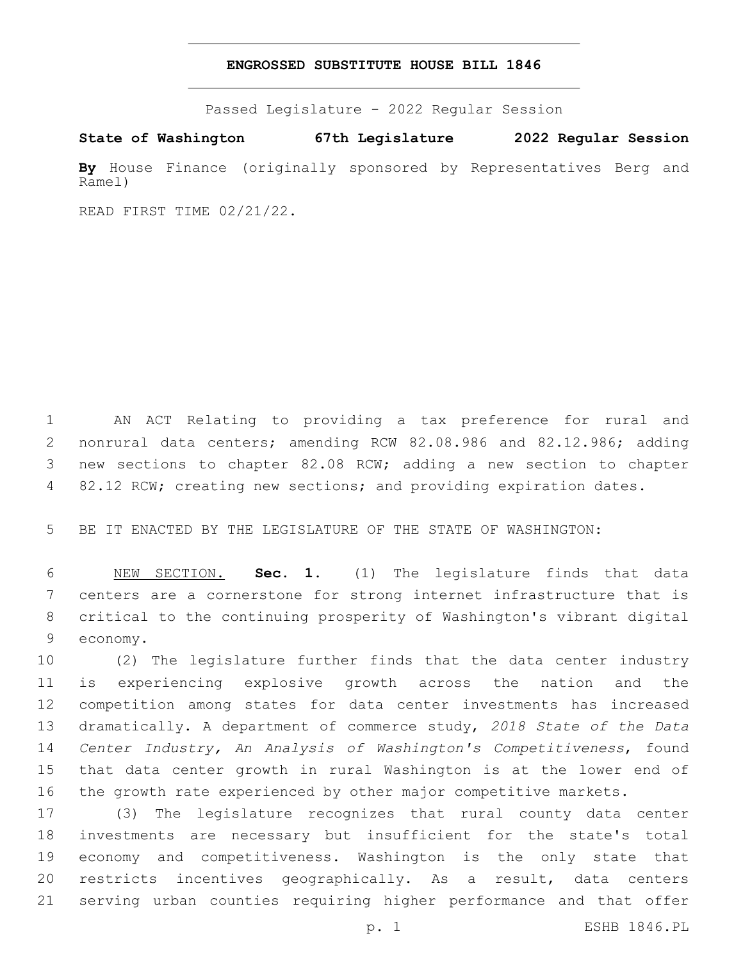## **ENGROSSED SUBSTITUTE HOUSE BILL 1846**

Passed Legislature - 2022 Regular Session

**State of Washington 67th Legislature 2022 Regular Session**

**By** House Finance (originally sponsored by Representatives Berg and Ramel)

READ FIRST TIME 02/21/22.

 AN ACT Relating to providing a tax preference for rural and nonrural data centers; amending RCW 82.08.986 and 82.12.986; adding new sections to chapter 82.08 RCW; adding a new section to chapter 4 82.12 RCW; creating new sections; and providing expiration dates.

BE IT ENACTED BY THE LEGISLATURE OF THE STATE OF WASHINGTON:

 NEW SECTION. **Sec. 1.** (1) The legislature finds that data centers are a cornerstone for strong internet infrastructure that is critical to the continuing prosperity of Washington's vibrant digital economy.

 (2) The legislature further finds that the data center industry is experiencing explosive growth across the nation and the competition among states for data center investments has increased dramatically. A department of commerce study, *2018 State of the Data Center Industry, An Analysis of Washington's Competitiveness*, found that data center growth in rural Washington is at the lower end of the growth rate experienced by other major competitive markets.

 (3) The legislature recognizes that rural county data center investments are necessary but insufficient for the state's total economy and competitiveness. Washington is the only state that restricts incentives geographically. As a result, data centers serving urban counties requiring higher performance and that offer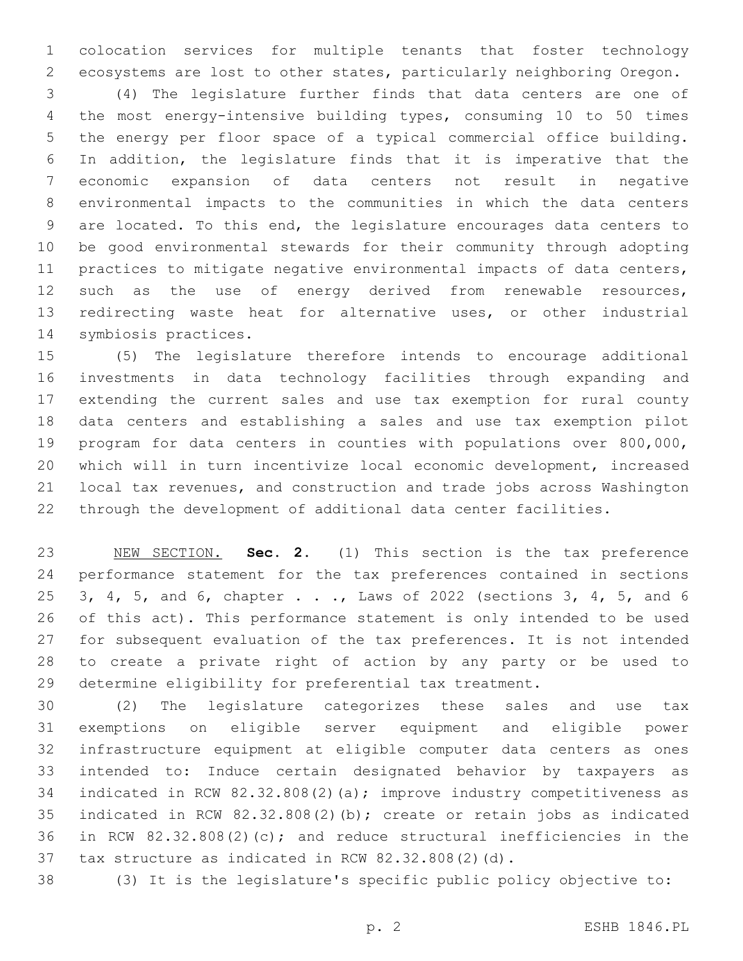colocation services for multiple tenants that foster technology ecosystems are lost to other states, particularly neighboring Oregon.

 (4) The legislature further finds that data centers are one of the most energy-intensive building types, consuming 10 to 50 times the energy per floor space of a typical commercial office building. In addition, the legislature finds that it is imperative that the economic expansion of data centers not result in negative environmental impacts to the communities in which the data centers are located. To this end, the legislature encourages data centers to be good environmental stewards for their community through adopting practices to mitigate negative environmental impacts of data centers, 12 such as the use of energy derived from renewable resources, redirecting waste heat for alternative uses, or other industrial 14 symbiosis practices.

 (5) The legislature therefore intends to encourage additional investments in data technology facilities through expanding and extending the current sales and use tax exemption for rural county data centers and establishing a sales and use tax exemption pilot program for data centers in counties with populations over 800,000, which will in turn incentivize local economic development, increased local tax revenues, and construction and trade jobs across Washington through the development of additional data center facilities.

 NEW SECTION. **Sec. 2.** (1) This section is the tax preference performance statement for the tax preferences contained in sections 3, 4, 5, and 6, chapter . . ., Laws of 2022 (sections 3, 4, 5, and 6 of this act). This performance statement is only intended to be used for subsequent evaluation of the tax preferences. It is not intended to create a private right of action by any party or be used to determine eligibility for preferential tax treatment.

 (2) The legislature categorizes these sales and use tax exemptions on eligible server equipment and eligible power infrastructure equipment at eligible computer data centers as ones intended to: Induce certain designated behavior by taxpayers as 34 indicated in RCW 82.32.808(2)(a); improve industry competitiveness as indicated in RCW 82.32.808(2)(b); create or retain jobs as indicated in RCW 82.32.808(2)(c); and reduce structural inefficiencies in the tax structure as indicated in RCW 82.32.808(2)(d).

(3) It is the legislature's specific public policy objective to: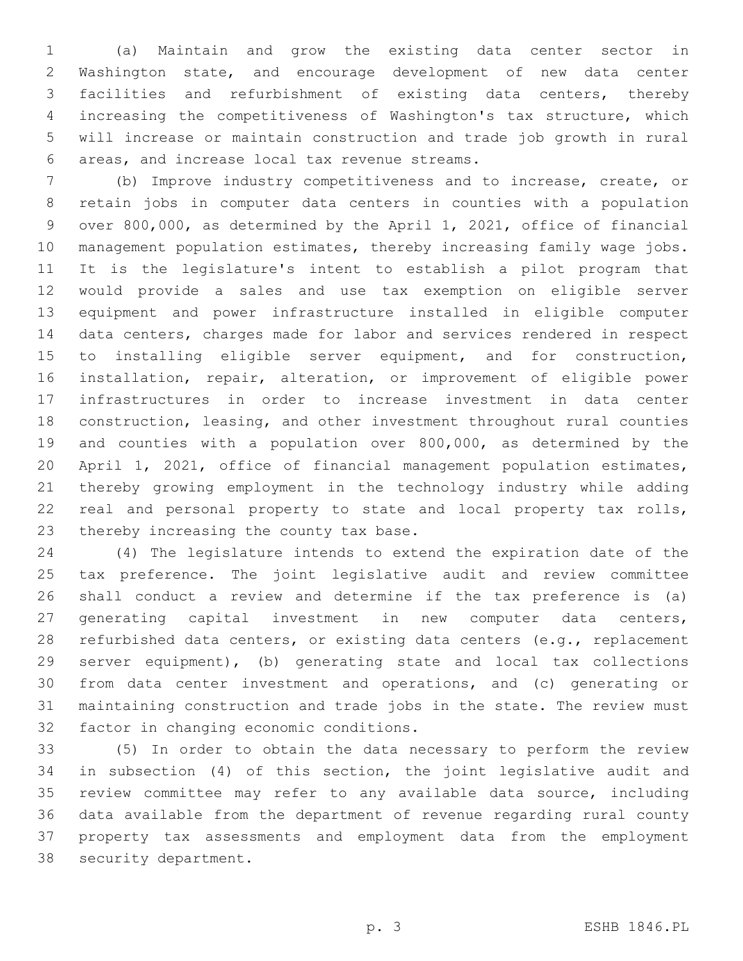(a) Maintain and grow the existing data center sector in Washington state, and encourage development of new data center facilities and refurbishment of existing data centers, thereby increasing the competitiveness of Washington's tax structure, which will increase or maintain construction and trade job growth in rural areas, and increase local tax revenue streams.6

 (b) Improve industry competitiveness and to increase, create, or retain jobs in computer data centers in counties with a population over 800,000, as determined by the April 1, 2021, office of financial management population estimates, thereby increasing family wage jobs. It is the legislature's intent to establish a pilot program that would provide a sales and use tax exemption on eligible server equipment and power infrastructure installed in eligible computer data centers, charges made for labor and services rendered in respect to installing eligible server equipment, and for construction, installation, repair, alteration, or improvement of eligible power infrastructures in order to increase investment in data center construction, leasing, and other investment throughout rural counties and counties with a population over 800,000, as determined by the April 1, 2021, office of financial management population estimates, thereby growing employment in the technology industry while adding real and personal property to state and local property tax rolls, 23 thereby increasing the county tax base.

 (4) The legislature intends to extend the expiration date of the tax preference. The joint legislative audit and review committee shall conduct a review and determine if the tax preference is (a) generating capital investment in new computer data centers, 28 refurbished data centers, or existing data centers (e.g., replacement server equipment), (b) generating state and local tax collections from data center investment and operations, and (c) generating or maintaining construction and trade jobs in the state. The review must 32 factor in changing economic conditions.

 (5) In order to obtain the data necessary to perform the review in subsection (4) of this section, the joint legislative audit and review committee may refer to any available data source, including data available from the department of revenue regarding rural county property tax assessments and employment data from the employment 38 security department.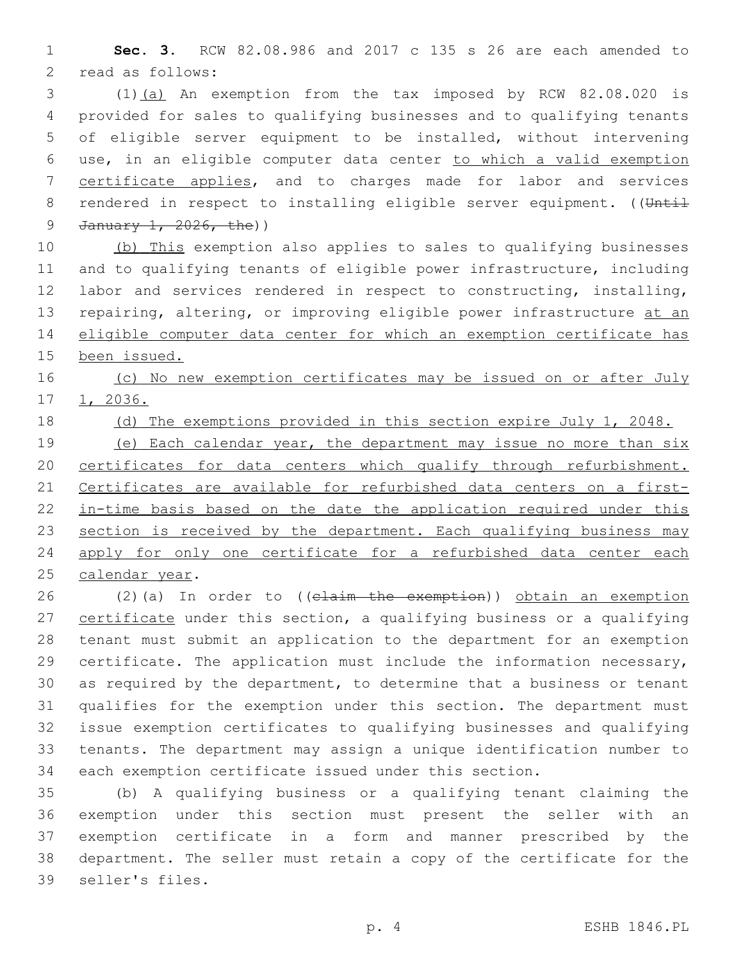**Sec. 3.** RCW 82.08.986 and 2017 c 135 s 26 are each amended to 2 read as follows:

 (1)(a) An exemption from the tax imposed by RCW 82.08.020 is provided for sales to qualifying businesses and to qualifying tenants of eligible server equipment to be installed, without intervening use, in an eligible computer data center to which a valid exemption certificate applies, and to charges made for labor and services 8 rendered in respect to installing eligible server equipment. ((Until 9 January 1, 2026, the))

10 (b) This exemption also applies to sales to qualifying businesses and to qualifying tenants of eligible power infrastructure, including labor and services rendered in respect to constructing, installing, 13 repairing, altering, or improving eligible power infrastructure at an eligible computer data center for which an exemption certificate has been issued.

16 (c) No new exemption certificates may be issued on or after July 1, 2036.

18 (d) The exemptions provided in this section expire July 1, 2048.

 (e) Each calendar year, the department may issue no more than six 20 certificates for data centers which qualify through refurbishment. Certificates are available for refurbished data centers on a first-22 in-time basis based on the date the application required under this 23 section is received by the department. Each qualifying business may 24 apply for only one certificate for a refurbished data center each 25 calendar year.

 (2)(a) In order to ((claim the exemption)) obtain an exemption certificate under this section, a qualifying business or a qualifying tenant must submit an application to the department for an exemption certificate. The application must include the information necessary, as required by the department, to determine that a business or tenant qualifies for the exemption under this section. The department must issue exemption certificates to qualifying businesses and qualifying tenants. The department may assign a unique identification number to each exemption certificate issued under this section.

 (b) A qualifying business or a qualifying tenant claiming the exemption under this section must present the seller with an exemption certificate in a form and manner prescribed by the department. The seller must retain a copy of the certificate for the 39 seller's files.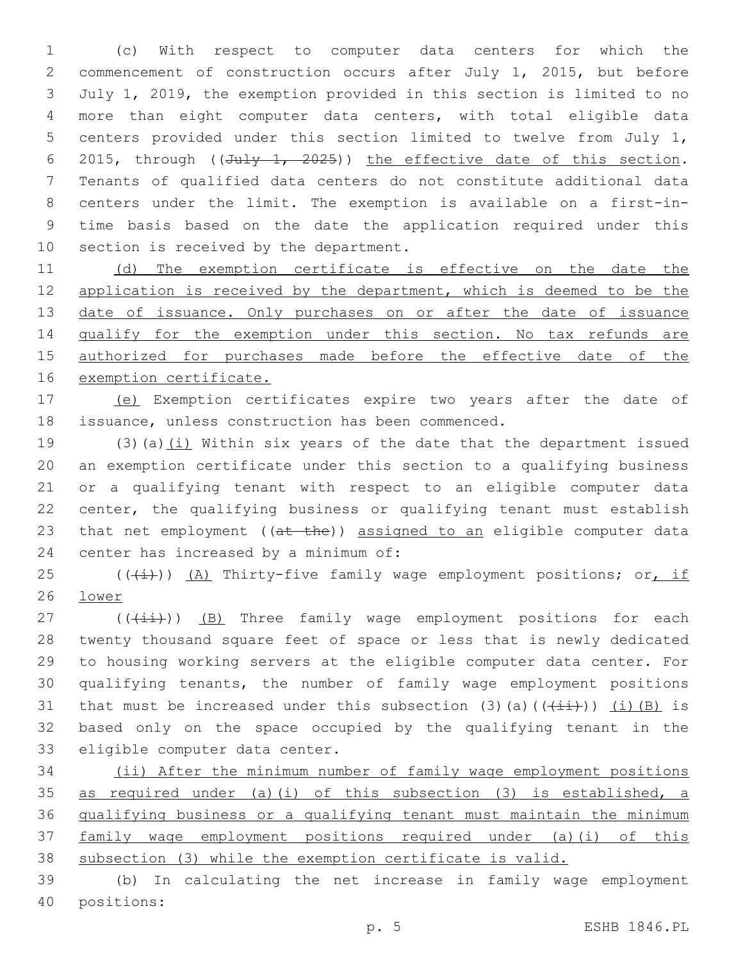(c) With respect to computer data centers for which the commencement of construction occurs after July 1, 2015, but before July 1, 2019, the exemption provided in this section is limited to no more than eight computer data centers, with total eligible data centers provided under this section limited to twelve from July 1, 6 2015, through  $((\text{July } 1, 2025))$  the effective date of this section. Tenants of qualified data centers do not constitute additional data centers under the limit. The exemption is available on a first-in- time basis based on the date the application required under this 10 section is received by the department.

11 (d) The exemption certificate is effective on the date the 12 application is received by the department, which is deemed to be the 13 date of issuance. Only purchases on or after the date of issuance qualify for the exemption under this section. No tax refunds are authorized for purchases made before the effective date of the exemption certificate.

 (e) Exemption certificates expire two years after the date of 18 issuance, unless construction has been commenced.

 $(3)(a)(i)$  Within six years of the date that the department issued an exemption certificate under this section to a qualifying business or a qualifying tenant with respect to an eligible computer data center, the qualifying business or qualifying tenant must establish 23 that net employment ((at the)) assigned to an eligible computer data 24 center has increased by a minimum of:

25  $((\overline{4}))(\overline{A})$  Thirty-five family wage employment positions; or, if lower

 (( $(i+i)$ )) (B) Three family wage employment positions for each twenty thousand square feet of space or less that is newly dedicated to housing working servers at the eligible computer data center. For qualifying tenants, the number of family wage employment positions 31 that must be increased under this subsection (3)(a)( $(\frac{1+i}{1+i})$ ) (i)(B) is based only on the space occupied by the qualifying tenant in the 33 eligible computer data center.

 (ii) After the minimum number of family wage employment positions as required under (a)(i) of this subsection (3) is established, a qualifying business or a qualifying tenant must maintain the minimum family wage employment positions required under (a)(i) of this subsection (3) while the exemption certificate is valid.

 (b) In calculating the net increase in family wage employment positions:40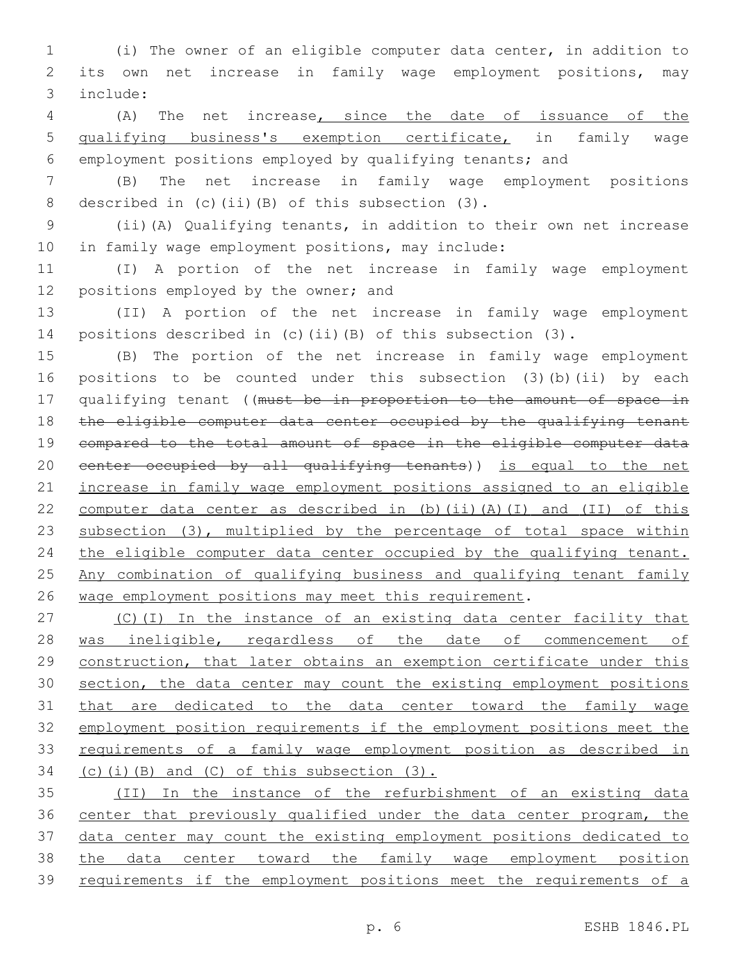(i) The owner of an eligible computer data center, in addition to its own net increase in family wage employment positions, may include:3

 (A) The net increase, since the date of issuance of the qualifying business's exemption certificate, in family wage employment positions employed by qualifying tenants; and

 (B) The net increase in family wage employment positions 8 described in (c)(ii)(B) of this subsection  $(3)$ .

 (ii)(A) Qualifying tenants, in addition to their own net increase 10 in family wage employment positions, may include:

 (I) A portion of the net increase in family wage employment 12 positions employed by the owner; and

 (II) A portion of the net increase in family wage employment positions described in (c)(ii)(B) of this subsection (3).

 (B) The portion of the net increase in family wage employment positions to be counted under this subsection (3)(b)(ii) by each 17 qualifying tenant ((must be in proportion to the amount of space in 18 the eligible computer data center occupied by the qualifying tenant compared to the total amount of space in the eligible computer data center occupied by all qualifying tenants)) is equal to the net increase in family wage employment positions assigned to an eligible computer data center as described in (b)(ii)(A)(I) and (II) of this 23 subsection (3), multiplied by the percentage of total space within 24 the eligible computer data center occupied by the qualifying tenant. Any combination of qualifying business and qualifying tenant family 26 wage employment positions may meet this requirement.

27 (C)(I) In the instance of an existing data center facility that 28 was ineligible, regardless of the date of commencement of construction, that later obtains an exemption certificate under this 30 section, the data center may count the existing employment positions that are dedicated to the data center toward the family wage employment position requirements if the employment positions meet the requirements of a family wage employment position as described in (c)(i)(B) and (C) of this subsection  $(3)$ .

 (II) In the instance of the refurbishment of an existing data center that previously qualified under the data center program, the data center may count the existing employment positions dedicated to the data center toward the family wage employment position requirements if the employment positions meet the requirements of a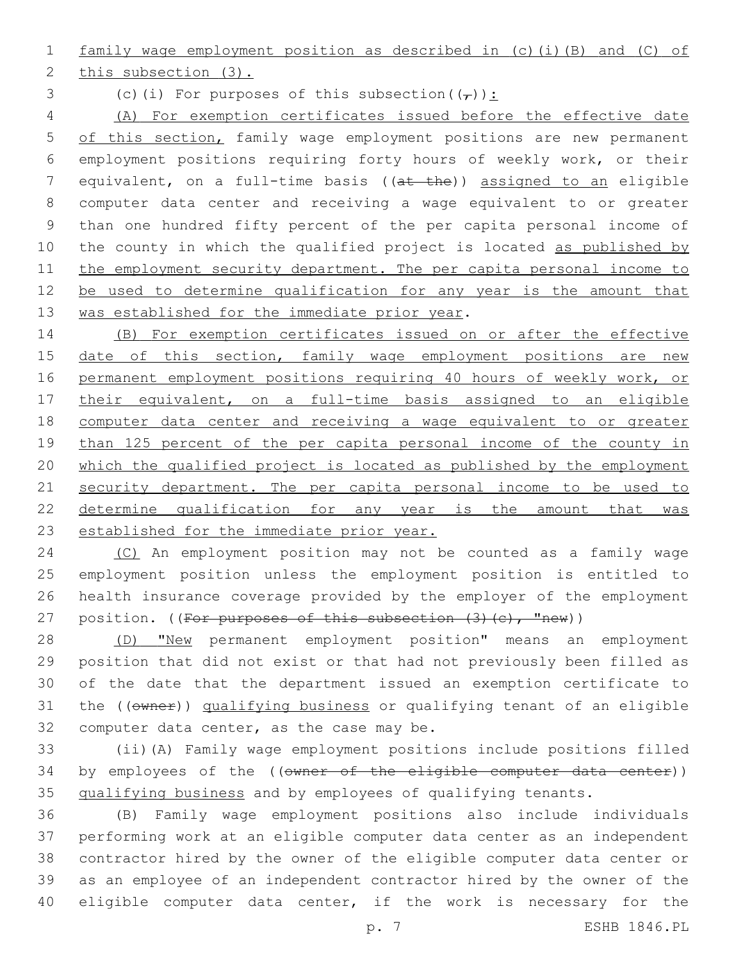family wage employment position as described in (c)(i)(B) and (C) of

2 this subsection (3).

3 (c)(i) For purposes of this subsection( $(\tau)$ ):

 (A) For exemption certificates issued before the effective date 5 of this section, family wage employment positions are new permanent employment positions requiring forty hours of weekly work, or their equivalent, on a full-time basis ((at the)) assigned to an eligible computer data center and receiving a wage equivalent to or greater than one hundred fifty percent of the per capita personal income of 10 the county in which the qualified project is located as published by 11 the employment security department. The per capita personal income to 12 be used to determine qualification for any year is the amount that 13 was established for the immediate prior year.

 (B) For exemption certificates issued on or after the effective 15 date of this section, family wage employment positions are new permanent employment positions requiring 40 hours of weekly work, or their equivalent, on a full-time basis assigned to an eligible computer data center and receiving a wage equivalent to or greater than 125 percent of the per capita personal income of the county in which the qualified project is located as published by the employment 21 security department. The per capita personal income to be used to 22 determine qualification for any year is the amount that was 23 established for the immediate prior year.

 (C) An employment position may not be counted as a family wage employment position unless the employment position is entitled to health insurance coverage provided by the employer of the employment 27 position. ((For purposes of this subsection (3)(c), "new))

 (D) "New permanent employment position" means an employment position that did not exist or that had not previously been filled as of the date that the department issued an exemption certificate to 31 the ((owner)) qualifying business or qualifying tenant of an eligible 32 computer data center, as the case may be.

 (ii)(A) Family wage employment positions include positions filled 34 by employees of the ((owner of the eligible computer data center)) qualifying business and by employees of qualifying tenants.

 (B) Family wage employment positions also include individuals performing work at an eligible computer data center as an independent contractor hired by the owner of the eligible computer data center or as an employee of an independent contractor hired by the owner of the eligible computer data center, if the work is necessary for the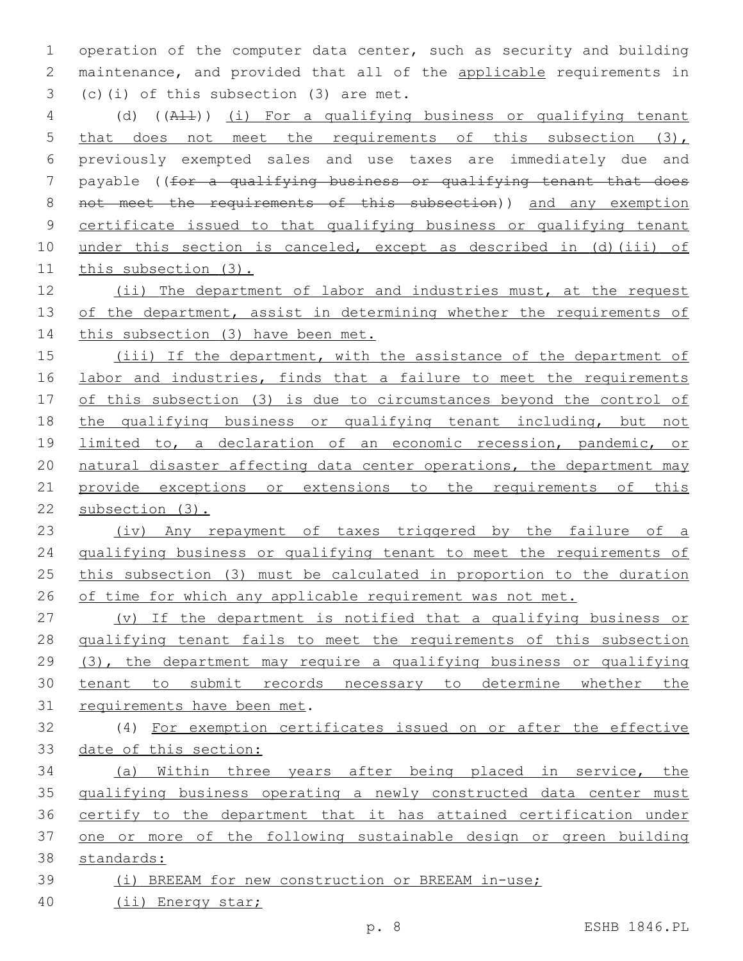operation of the computer data center, such as security and building maintenance, and provided that all of the applicable requirements in  $(c)(i)$  of this subsection  $(3)$  are met.

 (d) ((All)) (i) For a qualifying business or qualifying tenant 5 that does not meet the requirements of this subsection (3), previously exempted sales and use taxes are immediately due and payable ((for a qualifying business or qualifying tenant that does 8 not meet the requirements of this subsection)) and any exemption certificate issued to that qualifying business or qualifying tenant 10 under this section is canceled, except as described in (d)(iii) of this subsection (3).

 (ii) The department of labor and industries must, at the request 13 of the department, assist in determining whether the requirements of 14 this subsection (3) have been met.

 (iii) If the department, with the assistance of the department of 16 labor and industries, finds that a failure to meet the requirements 17 of this subsection (3) is due to circumstances beyond the control of the qualifying business or qualifying tenant including, but not 19 limited to, a declaration of an economic recession, pandemic, or natural disaster affecting data center operations, the department may provide exceptions or extensions to the requirements of this subsection (3).

23 (iv) Any repayment of taxes triggered by the failure of a qualifying business or qualifying tenant to meet the requirements of this subsection (3) must be calculated in proportion to the duration 26 of time for which any applicable requirement was not met.

 (v) If the department is notified that a qualifying business or qualifying tenant fails to meet the requirements of this subsection (3), the department may require a qualifying business or qualifying tenant to submit records necessary to determine whether the 31 requirements have been met.

 (4) For exemption certificates issued on or after the effective date of this section:

 (a) Within three years after being placed in service, the qualifying business operating a newly constructed data center must certify to the department that it has attained certification under 37 one or more of the following sustainable design or green building standards:

- (i) BREEAM for new construction or BREEAM in-use;
- (ii) Energy star;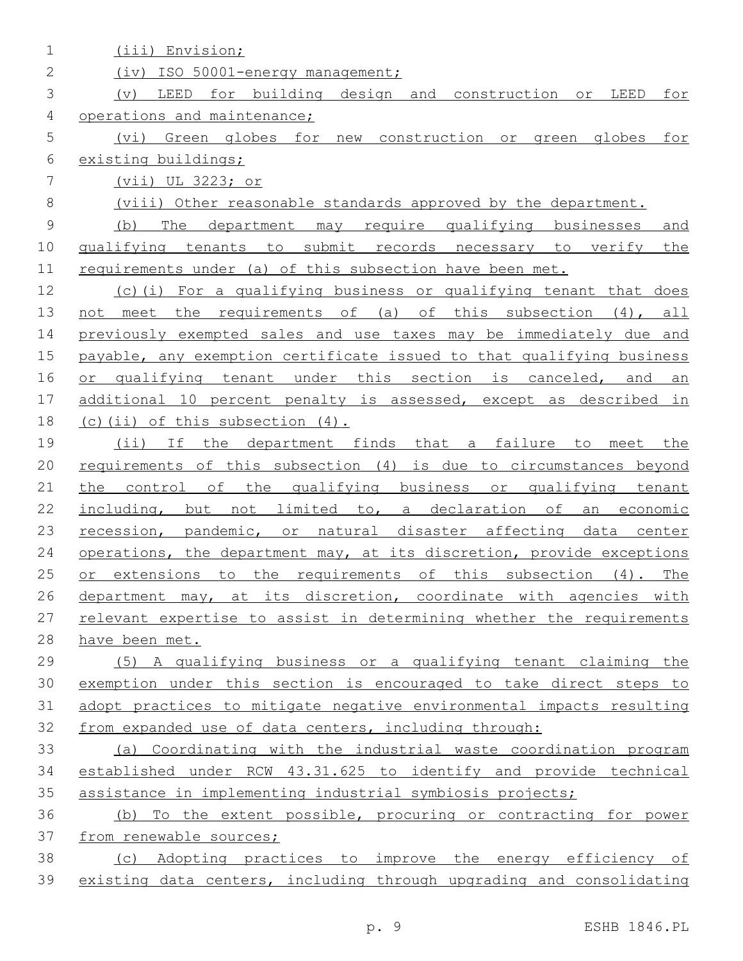| 1           | (iii) Envision;                                                       |
|-------------|-----------------------------------------------------------------------|
| 2           | (iv) ISO 50001-energy management;                                     |
| 3           | LEED for building design and construction<br>LEED<br>for<br>(v)<br>or |
| 4           | operations and maintenance;                                           |
| 5           | (vi)<br>Green globes for new construction or<br>green globes<br>for   |
| 6           | existing buildings;                                                   |
| 7           | (vii) UL 3223; or                                                     |
| 8           | (viii) Other reasonable standards approved by the department.         |
| $\mathsf 9$ | The department may require qualifying businesses<br>(b)<br>and        |
| 10          | qualifying tenants to submit records necessary to verify the          |
| 11          | requirements under (a) of this subsection have been met.              |
| 12          | (c)(i) For a qualifying business or qualifying tenant that does       |
| 13          | meet the requirements of (a)<br>of this subsection (4), all<br>not    |
| 14          | previously exempted sales and use taxes may be immediately due and    |
| 15          | payable, any exemption certificate issued to that qualifying business |
| 16          | or qualifying tenant under this section is canceled,<br>and<br>an     |
| 17          | additional 10 percent penalty is assessed, except as described in     |
| 18          | $(c)$ (ii) of this subsection $(4)$ .                                 |
| 19          | (i)<br>If the department finds that a failure to<br>meet the          |
| 20          | requirements of this subsection (4) is due to circumstances beyond    |
| 21          | the control of the qualifying business or qualifying tenant           |
| 22          | including, but not limited to, a declaration of<br>an economic        |
| 23          | recession, pandemic, or natural disaster affecting data center        |
| 24          | operations, the department may, at its discretion, provide exceptions |
| 25          | or extensions to the requirements of this subsection $(4)$ .<br>The   |
| 26          | department may, at its discretion, coordinate with agencies with      |
| 27          | relevant expertise to assist in determining whether the requirements  |
| 28          | have been met.                                                        |
| 29          | (5) A qualifying business or a qualifying tenant claiming the         |
| 30          | exemption under this section is encouraged to take direct steps to    |
| 31          | adopt practices to mitigate negative environmental impacts resulting  |
| 32          | from expanded use of data centers, including through:                 |
| 33          | (a) Coordinating with the industrial waste coordination program       |
| 34          | established under RCW 43.31.625 to identify and provide technical     |
| 35          | assistance in implementing industrial symbiosis projects;             |
| 36          | (b) To the extent possible, procuring or contracting for power        |
| 37          | from renewable sources;                                               |
| 38          | (c) Adopting practices to improve the energy efficiency of            |
| 39          | existing data centers, including through upgrading and consolidating  |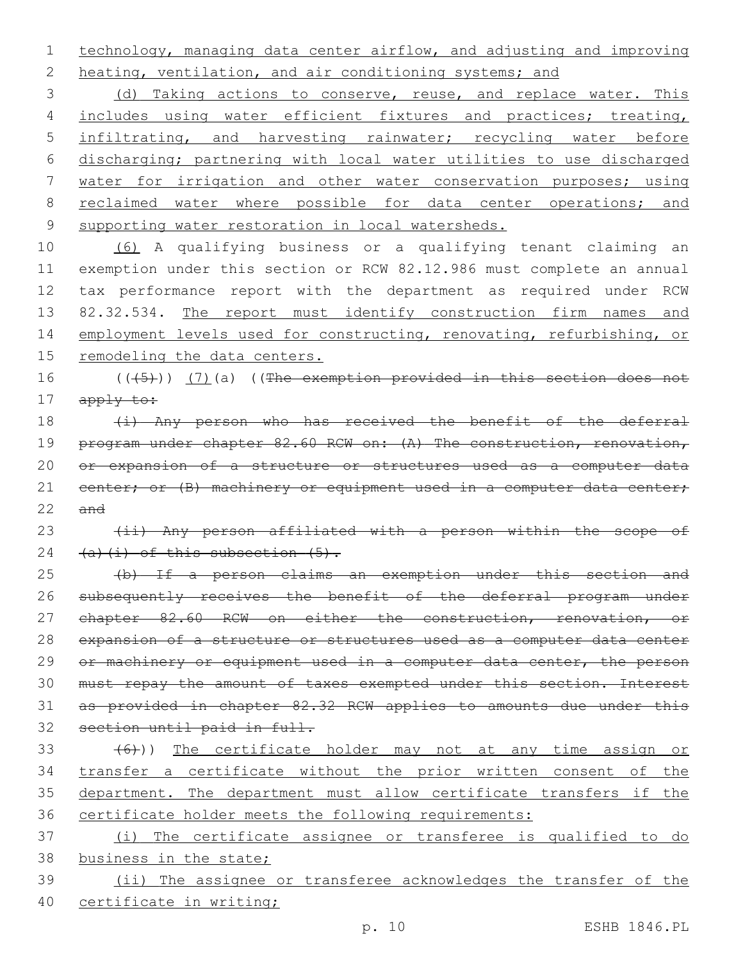1 technology, managing data center airflow, and adjusting and improving 2 heating, ventilation, and air conditioning systems; and

3 (d) Taking actions to conserve, reuse, and replace water. This 4 includes using water efficient fixtures and practices; treating, 5 infiltrating, and harvesting rainwater; recycling water before 6 discharging; partnering with local water utilities to use discharged 7 water for irrigation and other water conservation purposes; using 8 reclaimed water where possible for data center operations; and 9 supporting water restoration in local watersheds.

 (6) A qualifying business or a qualifying tenant claiming an exemption under this section or RCW 82.12.986 must complete an annual tax performance report with the department as required under RCW 13 82.32.534. The report must identify construction firm names and 14 employment levels used for constructing, renovating, refurbishing, or remodeling the data centers.

16 (((5))) (7)(a) ((The exemption provided in this section does not 17 apply to:

18 (i) Any person who has received the benefit of the deferral 19 program under chapter 82.60 RCW on: (A) The construction, renovation, 20 or expansion of a structure or structures used as a computer data 21 center; or (B) machinery or equipment used in a computer data center;  $22$  and

23 (ii) Any person affiliated with a person within the scope of 24  $(a)$   $(i)$  of this subsection  $(5)$ .

 (b) If a person claims an exemption under this section and 26 subsequently receives the benefit of the deferral program under 27 chapter 82.60 RCW on either the construction, renovation, or expansion of a structure or structures used as a computer data center 29 or machinery or equipment used in a computer data center, the person must repay the amount of taxes exempted under this section. Interest as provided in chapter 82.32 RCW applies to amounts due under this section until paid in full.

33 (6))) The certificate holder may not at any time assign or transfer a certificate without the prior written consent of the department. The department must allow certificate transfers if the certificate holder meets the following requirements:

37 (i) The certificate assignee or transferee is qualified to do 38 business in the state; 39 (ii) The assignee or transferee acknowledges the transfer of the

40 certificate in writing;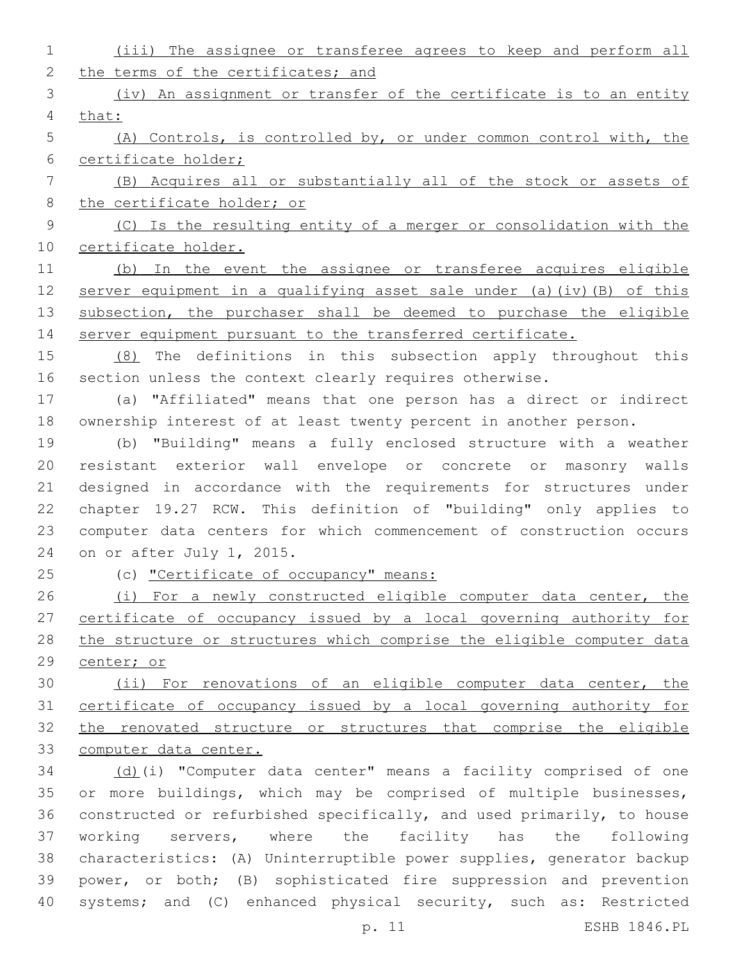| $\mathbf 1$ | (iii) The assignee or transferee agrees to keep and perform all        |
|-------------|------------------------------------------------------------------------|
| 2           | the terms of the certificates; and                                     |
| 3           | (iv) An assignment or transfer of the certificate is to an entity      |
| 4           | that:                                                                  |
| 5           | (A) Controls, is controlled by, or under common control with, the      |
| 6           | certificate holder;                                                    |
| 7           | (B) Acquires all or substantially all of the stock or assets of        |
| $\,8\,$     | the certificate holder; or                                             |
| $\mathsf 9$ | (C) Is the resulting entity of a merger or consolidation with the      |
| 10          | certificate holder.                                                    |
| 11          | (b) In the event the assignee or transferee acquires eligible          |
| 12          | server equipment in a qualifying asset sale under (a) (iv) (B) of this |
| 13          | subsection, the purchaser shall be deemed to purchase the eligible     |
| 14          | server equipment pursuant to the transferred certificate.              |
| 15          | (8) The definitions in this subsection apply throughout this           |
| 16          | section unless the context clearly requires otherwise.                 |
| 17          | (a) "Affiliated" means that one person has a direct or indirect        |
| 18          | ownership interest of at least twenty percent in another person.       |
| 19          | (b) "Building" means a fully enclosed structure with a weather         |
| 20          | resistant exterior wall envelope or concrete or masonry walls          |
| 21          | designed in accordance with the requirements for structures under      |
| 22          | chapter 19.27 RCW. This definition of "building" only applies to       |
| 23          | computer data centers for which commencement of construction occurs    |
| 24          | on or after July 1, 2015.                                              |
| 25          | (c) "Certificate of occupancy" means:                                  |
| 26          | (i) For a newly constructed eligible computer data center, the         |
| 27          | certificate of occupancy issued by a local governing authority for     |
| 28          | the structure or structures which comprise the eligible computer data  |
| 29          | center; or                                                             |
| 30          | (ii) For renovations of an eligible computer data center, the          |
| 31          | certificate of occupancy issued by a local governing authority for     |
| 32          | the renovated structure or structures that comprise the eligible       |
| 33          | computer data center.                                                  |
| 34          | (d)(i) "Computer data center" means a facility comprised of one        |
| 35          | or more buildings, which may be comprised of multiple businesses,      |
| 36          | constructed or refurbished specifically, and used primarily, to house  |
| 37          | working servers, where the facility has the following                  |
| 38          | characteristics: (A) Uninterruptible power supplies, generator backup  |
| 39          | power, or both; (B) sophisticated fire suppression and prevention      |
| 40          | systems; and (C) enhanced physical security, such as: Restricted       |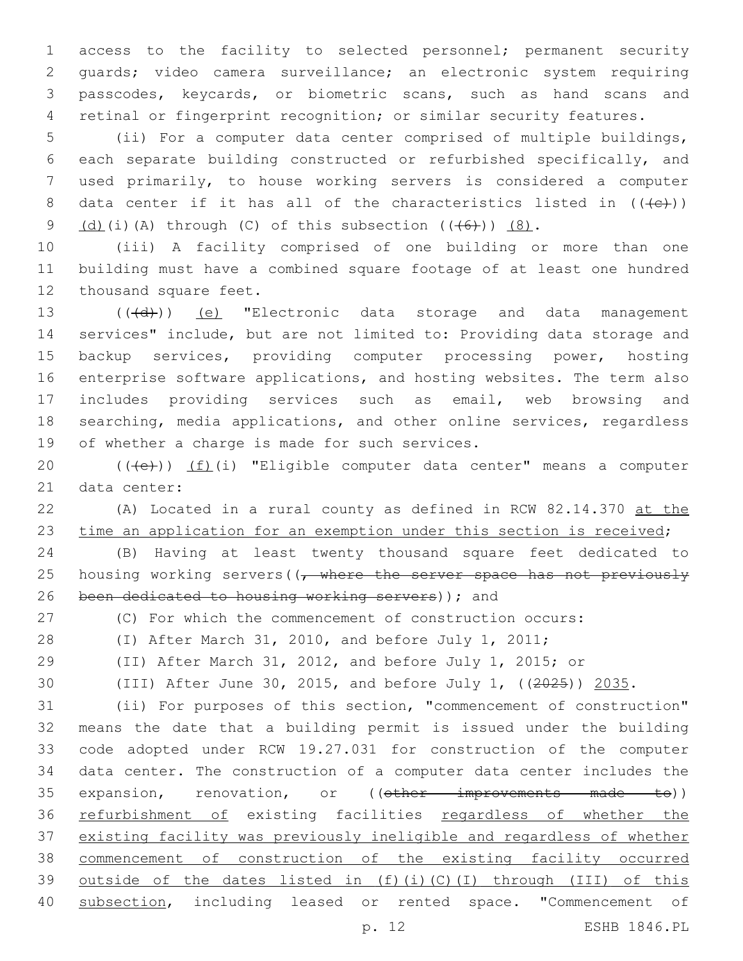access to the facility to selected personnel; permanent security guards; video camera surveillance; an electronic system requiring passcodes, keycards, or biometric scans, such as hand scans and retinal or fingerprint recognition; or similar security features.

 (ii) For a computer data center comprised of multiple buildings, each separate building constructed or refurbished specifically, and used primarily, to house working servers is considered a computer 8 data center if it has all of the characteristics listed in  $((+e))$  $(d)(i)(A)$  through (C) of this subsection  $((+6+))$   $(8)$ .

 (iii) A facility comprised of one building or more than one building must have a combined square footage of at least one hundred 12 thousand square feet.

13 (((d)) (e) "Electronic data storage and data management services" include, but are not limited to: Providing data storage and backup services, providing computer processing power, hosting enterprise software applications, and hosting websites. The term also includes providing services such as email, web browsing and searching, media applications, and other online services, regardless 19 of whether a charge is made for such services.

20 (((e)) (f)(i) "Eligible computer data center" means a computer 21 data center:

 (A) Located in a rural county as defined in RCW 82.14.370 at the 23 time an application for an exemption under this section is received;

 (B) Having at least twenty thousand square feet dedicated to 25 housing working servers((<del>, where the server space has not previously</del> 26 been dedicated to housing working servers)); and

(C) For which the commencement of construction occurs:

(I) After March 31, 2010, and before July 1, 2011;

(II) After March 31, 2012, and before July 1, 2015; or

(III) After June 30, 2015, and before July 1, ((2025)) 2035.

 (ii) For purposes of this section, "commencement of construction" means the date that a building permit is issued under the building code adopted under RCW 19.27.031 for construction of the computer data center. The construction of a computer data center includes the 35 expansion, renovation, or ((other improvements made to)) 36 refurbishment of existing facilities regardless of whether the existing facility was previously ineligible and regardless of whether commencement of construction of the existing facility occurred outside of the dates listed in (f)(i)(C)(I) through (III) of this subsection, including leased or rented space. "Commencement of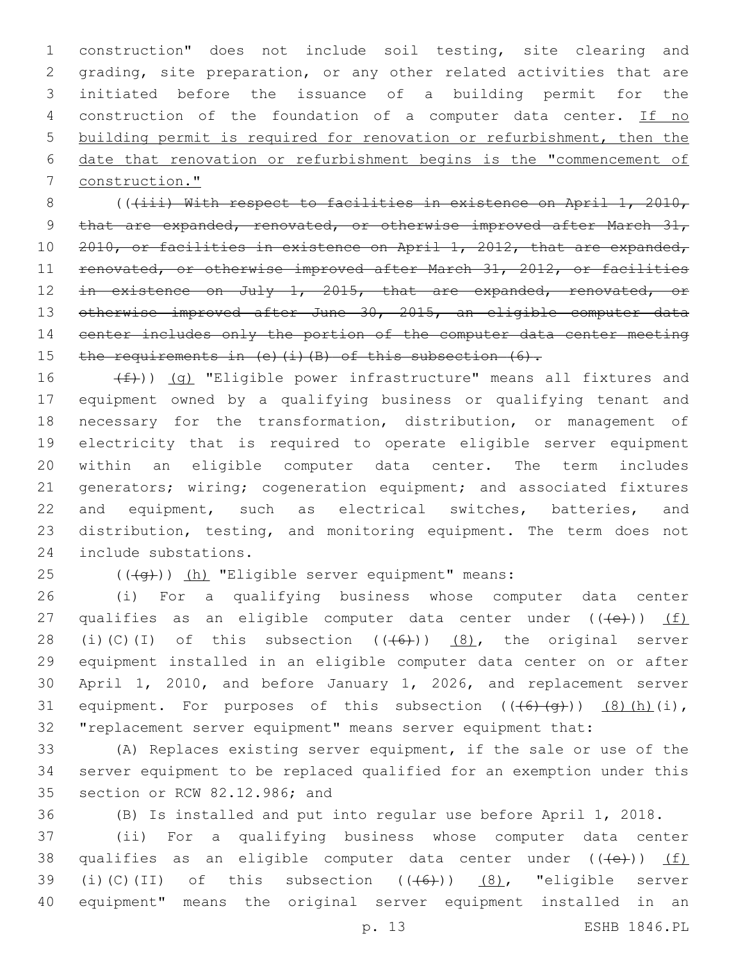construction" does not include soil testing, site clearing and grading, site preparation, or any other related activities that are initiated before the issuance of a building permit for the 4 construction of the foundation of a computer data center. If no building permit is required for renovation or refurbishment, then the date that renovation or refurbishment begins is the "commencement of construction."

8 (((iii) With respect to facilities in existence on April 1, 2010, 9 that are expanded, renovated, or otherwise improved after March 31, 10 2010, or facilities in existence on April 1, 2012, that are expanded, 11 renovated, or otherwise improved after March 31, 2012, or facilities 12 in existence on July 1, 2015, that are expanded, renovated, or 13 otherwise improved after June 30, 2015, an eligible computer data 14 center includes only the portion of the computer data center meeting 15 the requirements in (e)(i)(B) of this subsection (6).

 $(f)$ ) (g) "Eligible power infrastructure" means all fixtures and equipment owned by a qualifying business or qualifying tenant and necessary for the transformation, distribution, or management of electricity that is required to operate eligible server equipment within an eligible computer data center. The term includes 21 generators; wiring; cogeneration equipment; and associated fixtures 22 and equipment, such as electrical switches, batteries, and distribution, testing, and monitoring equipment. The term does not 24 include substations.

25  $((+q))$   $(h)$  "Eligible server equipment" means:

26 (i) For a qualifying business whose computer data center 27 qualifies as an eligible computer data center under  $((+e))$  (f) 28 (i)(C)(I) of this subsection  $((+6))$   $(8)$ , the original server 29 equipment installed in an eligible computer data center on or after 30 April 1, 2010, and before January 1, 2026, and replacement server 31 equipment. For purposes of this subsection  $((+6)+(q))$   $(8)(h)(i)$ , 32 "replacement server equipment" means server equipment that:

33 (A) Replaces existing server equipment, if the sale or use of the 34 server equipment to be replaced qualified for an exemption under this 35 section or RCW 82.12.986; and

36 (B) Is installed and put into regular use before April 1, 2018.

37 (ii) For a qualifying business whose computer data center 38 qualifies as an eligible computer data center under  $((+e+))$  (f) 39 (i)(C)(II) of this subsection  $((+6))$   $(8)$ , "eligible server 40 equipment" means the original server equipment installed in an

p. 13 ESHB 1846.PL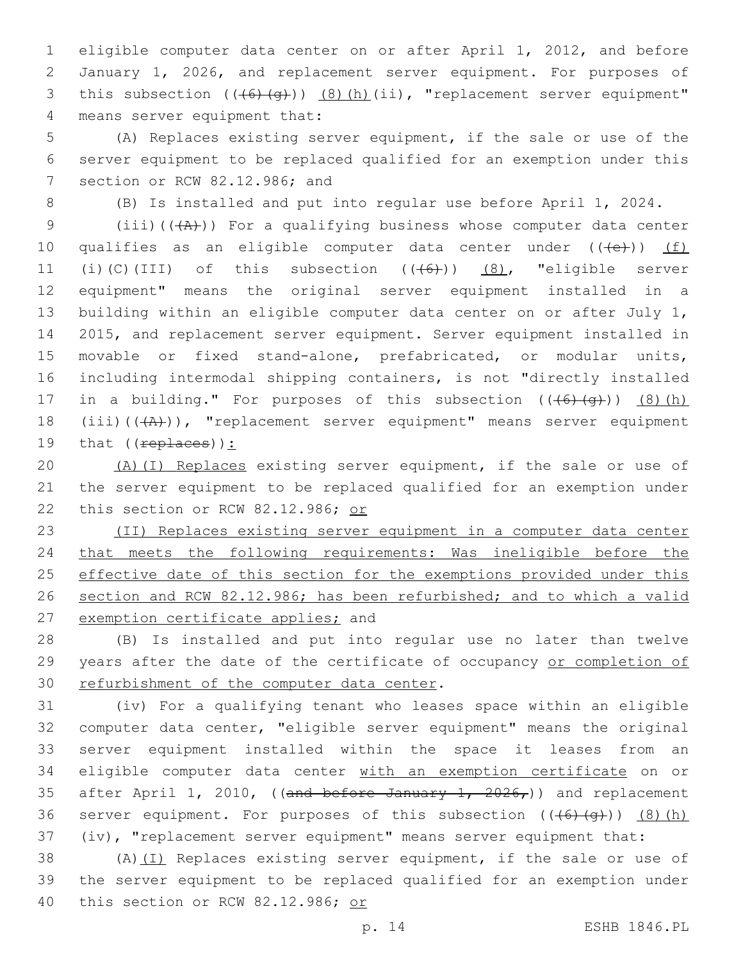1 eligible computer data center on or after April 1, 2012, and before 2 January 1, 2026, and replacement server equipment. For purposes of 3 this subsection  $((+6)+(q))$   $(8)$   $(h)$   $(ii)$ , "replacement server equipment" 4 means server equipment that:

5 (A) Replaces existing server equipment, if the sale or use of the 6 server equipment to be replaced qualified for an exemption under this 7 section or RCW 82.12.986; and

8 (B) Is installed and put into regular use before April 1, 2024.

9 (iii) $((+A)^2)$  For a qualifying business whose computer data center 10 qualifies as an eligible computer data center under  $((+e+))$  (f) 11 (i)(C)(III) of this subsection  $((+6))$   $(8)$ , "eligible server 12 equipment" means the original server equipment installed in a 13 building within an eligible computer data center on or after July 1, 14 2015, and replacement server equipment. Server equipment installed in 15 movable or fixed stand-alone, prefabricated, or modular units, 16 including intermodal shipping containers, is not "directly installed 17 in a building." For purposes of this subsection  $((+6)+(q+))$   $(8)$  (h) 18 (iii) $((+A))$ , "replacement server equipment" means server equipment 19 that  $((\text{replaces})$ ):

20 (A)(I) Replaces existing server equipment, if the sale or use of 21 the server equipment to be replaced qualified for an exemption under 22 this section or RCW 82.12.986; or

23 (II) Replaces existing server equipment in a computer data center 24 that meets the following requirements: Was ineligible before the 25 effective date of this section for the exemptions provided under this 26 section and RCW 82.12.986; has been refurbished; and to which a valid 27 exemption certificate applies; and

28 (B) Is installed and put into regular use no later than twelve 29 years after the date of the certificate of occupancy or completion of 30 refurbishment of the computer data center.

31 (iv) For a qualifying tenant who leases space within an eligible 32 computer data center, "eligible server equipment" means the original 33 server equipment installed within the space it leases from an 34 eligible computer data center with an exemption certificate on or 35 after April 1, 2010, ((and before January  $1, 2026,$ )) and replacement 36 server equipment. For purposes of this subsection  $((+6)+(q+))$  (8)(h) 37 (iv), "replacement server equipment" means server equipment that:

38 (A)(I) Replaces existing server equipment, if the sale or use of 39 the server equipment to be replaced qualified for an exemption under 40 this section or RCW 82.12.986; or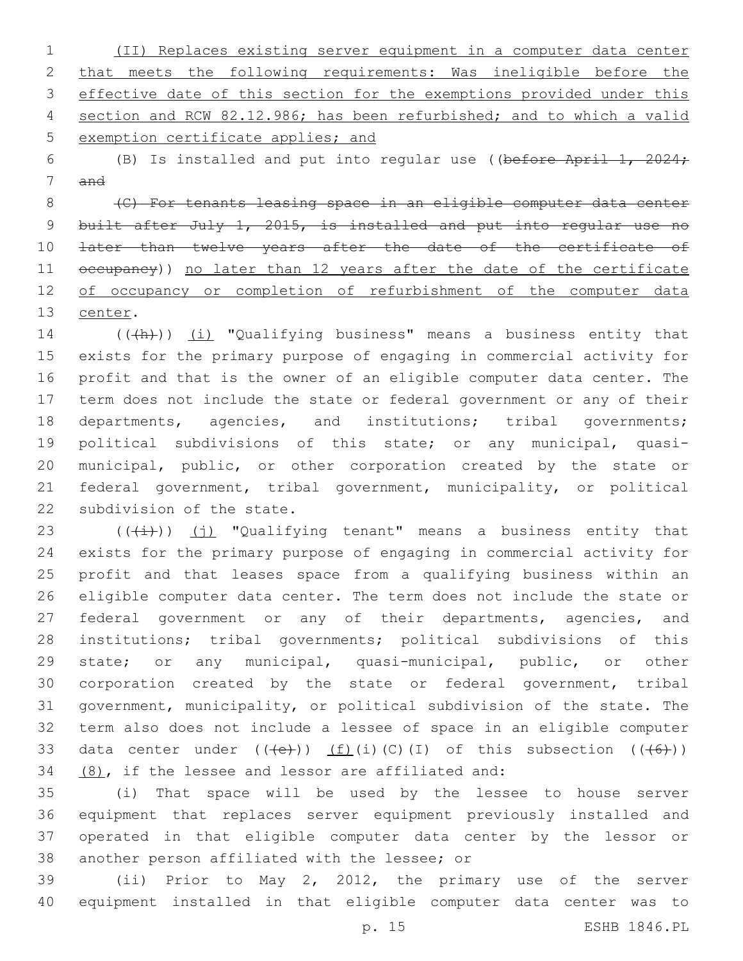(II) Replaces existing server equipment in a computer data center that meets the following requirements: Was ineligible before the 3 effective date of this section for the exemptions provided under this section and RCW 82.12.986; has been refurbished; and to which a valid exemption certificate applies; and

 (B) Is installed and put into regular use ((before April 1, 2024; and

 (C) For tenants leasing space in an eligible computer data center 9 built after July 1, 2015, is installed and put into regular use no 10 <del>later than twelve years after the date of the certificate of</del> 11 occupancy)) no later than 12 years after the date of the certificate of occupancy or completion of refurbishment of the computer data 13 center.

14 (((+h)) (i) "Qualifying business" means a business entity that exists for the primary purpose of engaging in commercial activity for profit and that is the owner of an eligible computer data center. The term does not include the state or federal government or any of their departments, agencies, and institutions; tribal governments; political subdivisions of this state; or any municipal, quasi- municipal, public, or other corporation created by the state or federal government, tribal government, municipality, or political 22 subdivision of the state.

 $((\overline{(\dagger)})$  (j) "Qualifying tenant" means a business entity that exists for the primary purpose of engaging in commercial activity for profit and that leases space from a qualifying business within an eligible computer data center. The term does not include the state or 27 federal government or any of their departments, agencies, and institutions; tribal governments; political subdivisions of this 29 state; or any municipal, quasi-municipal, public, or other corporation created by the state or federal government, tribal government, municipality, or political subdivision of the state. The term also does not include a lessee of space in an eligible computer 33 data center under  $((+e+))$   $(f)(i)(C)(I)$  of this subsection  $((+6+))$  $(8)$ , if the lessee and lessor are affiliated and:

 (i) That space will be used by the lessee to house server equipment that replaces server equipment previously installed and operated in that eligible computer data center by the lessor or 38 another person affiliated with the lessee; or

 (ii) Prior to May 2, 2012, the primary use of the server equipment installed in that eligible computer data center was to

p. 15 ESHB 1846.PL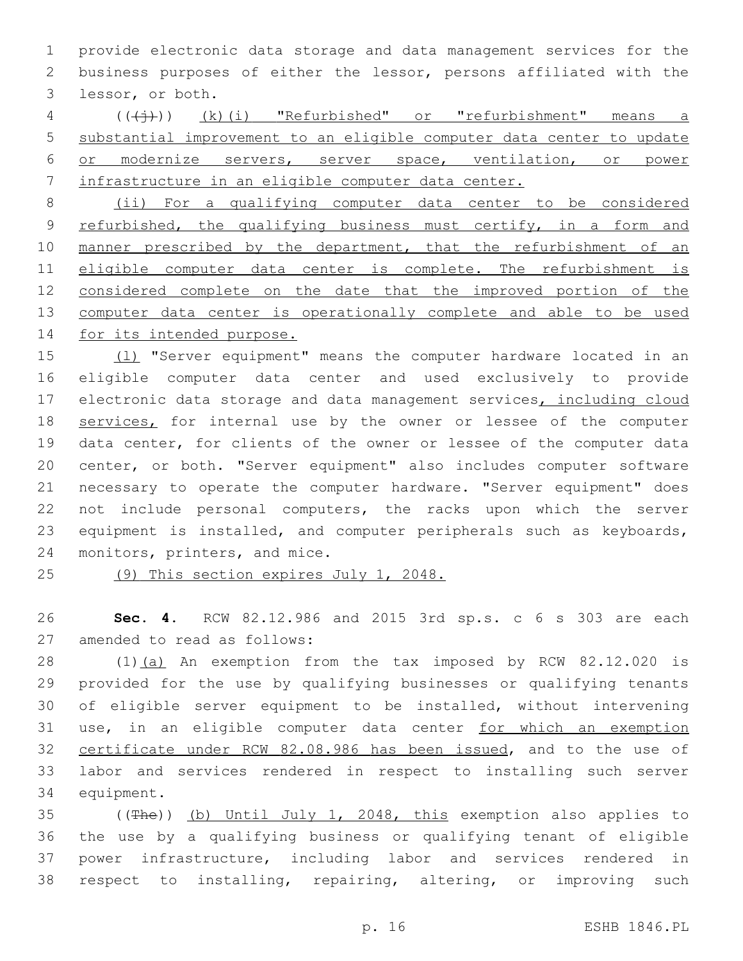provide electronic data storage and data management services for the business purposes of either the lessor, persons affiliated with the 3 lessor, or both.

4 (((+))) (k)(i) "Refurbished" or "refurbishment" means a substantial improvement to an eligible computer data center to update or modernize servers, server space, ventilation, or power infrastructure in an eligible computer data center.

 (ii) For a qualifying computer data center to be considered 9 refurbished, the qualifying business must certify, in a form and 10 manner prescribed by the department, that the refurbishment of an 11 eligible computer data center is complete. The refurbishment is considered complete on the date that the improved portion of the computer data center is operationally complete and able to be used for its intended purpose.

15 (1) "Server equipment" means the computer hardware located in an eligible computer data center and used exclusively to provide 17 electronic data storage and data management services, including cloud 18 services, for internal use by the owner or lessee of the computer data center, for clients of the owner or lessee of the computer data center, or both. "Server equipment" also includes computer software necessary to operate the computer hardware. "Server equipment" does not include personal computers, the racks upon which the server equipment is installed, and computer peripherals such as keyboards, 24 monitors, printers, and mice.

(9) This section expires July 1, 2048.

 **Sec. 4.** RCW 82.12.986 and 2015 3rd sp.s. c 6 s 303 are each 27 amended to read as follows:

 (1)(a) An exemption from the tax imposed by RCW 82.12.020 is provided for the use by qualifying businesses or qualifying tenants of eligible server equipment to be installed, without intervening 31 use, in an eligible computer data center for which an exemption certificate under RCW 82.08.986 has been issued, and to the use of labor and services rendered in respect to installing such server 34 equipment.

 ((The)) (b) Until July 1, 2048, this exemption also applies to the use by a qualifying business or qualifying tenant of eligible power infrastructure, including labor and services rendered in respect to installing, repairing, altering, or improving such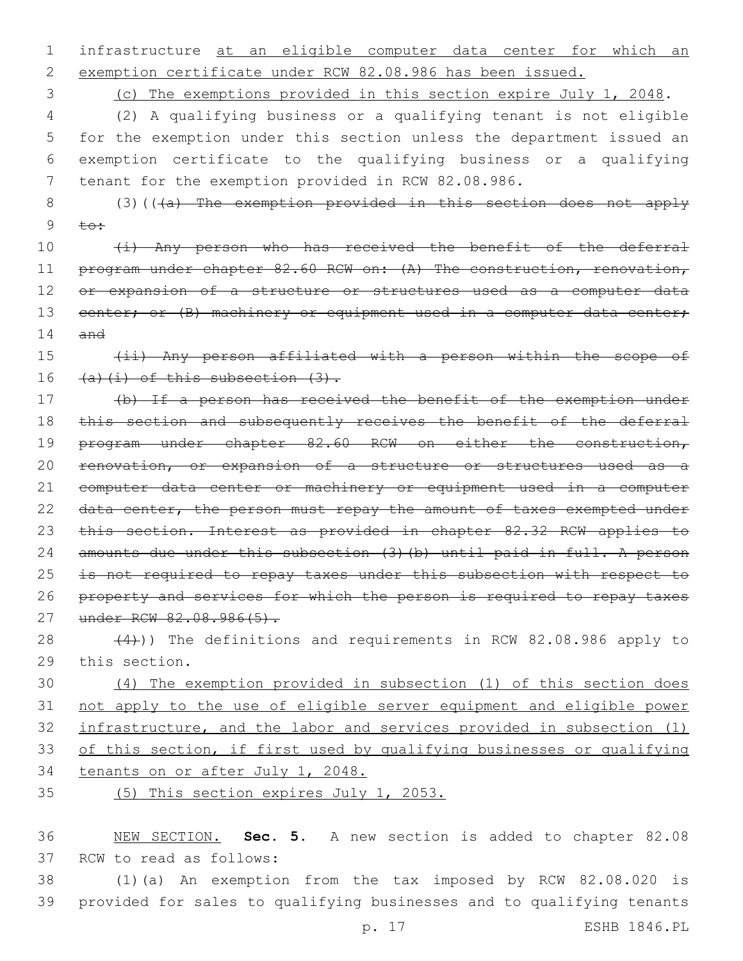1 infrastructure at an eligible computer data center for which an 2 exemption certificate under RCW 82.08.986 has been issued.

3 (c) The exemptions provided in this section expire July 1, 2048.

 (2) A qualifying business or a qualifying tenant is not eligible for the exemption under this section unless the department issued an exemption certificate to the qualifying business or a qualifying tenant for the exemption provided in RCW 82.08.986.

8 (3)(((a) The exemption provided in this section does not apply 9  $\pm$  $\theta$ :

10 (i) Any person who has received the benefit of the deferral 11 program under chapter 82.60 RCW on: (A) The construction, renovation, 12 or expansion of a structure or structures used as a computer data 13 center; or (B) machinery or equipment used in a computer data center; 14 and

15 (ii) Any person affiliated with a person within the scope of 16  $(a)$   $(i)$  of this subsection  $(3)$ .

17 (b) If a person has received the benefit of the exemption under 18 this section and subsequently receives the benefit of the deferral 19 program under chapter 82.60 RCW on either the construction, 20 renovation, or expansion of a structure or structures used as a 21 computer data center or machinery or equipment used in a computer 22 data center, the person must repay the amount of taxes exempted under 23 this section. Interest as provided in chapter 82.32 RCW applies to 24 amounts due under this subsection (3)(b) until paid in full. A person 25 is not required to repay taxes under this subsection with respect to 26 property and services for which the person is required to repay taxes 27 under RCW 82.08.986(5).

28  $(4)$ )) The definitions and requirements in RCW 82.08.986 apply to 29 this section.

 (4) The exemption provided in subsection (1) of this section does not apply to the use of eligible server equipment and eligible power infrastructure, and the labor and services provided in subsection (1) of this section, if first used by qualifying businesses or qualifying tenants on or after July 1, 2048.

35 (5) This section expires July 1, 2053.

36 NEW SECTION. **Sec. 5.** A new section is added to chapter 82.08 37 RCW to read as follows:

38 (1)(a) An exemption from the tax imposed by RCW 82.08.020 is 39 provided for sales to qualifying businesses and to qualifying tenants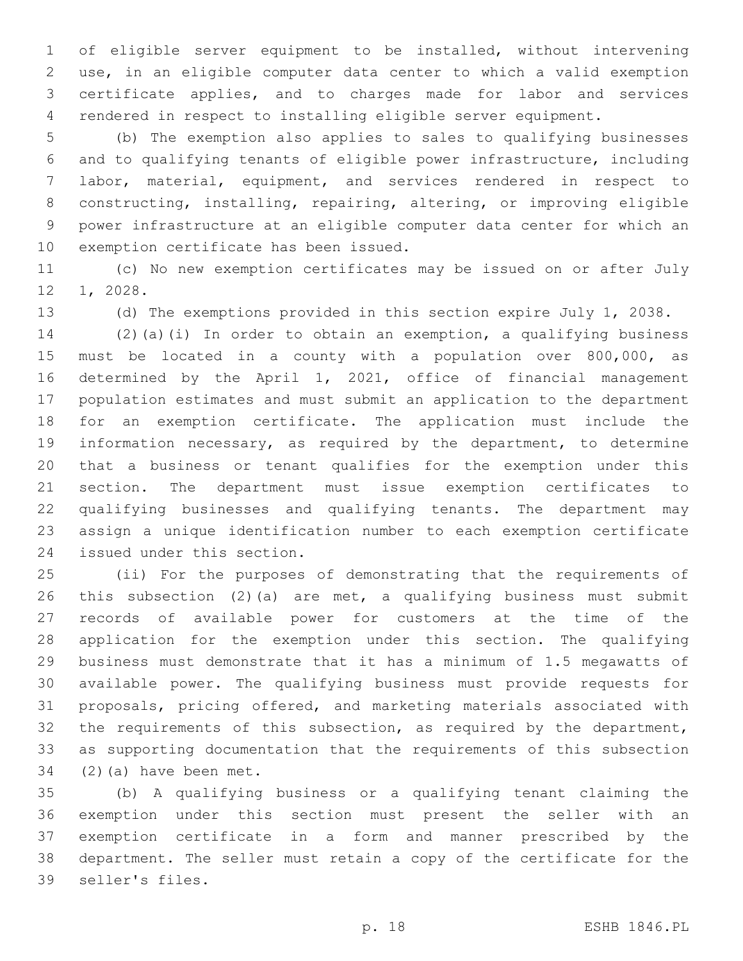of eligible server equipment to be installed, without intervening use, in an eligible computer data center to which a valid exemption certificate applies, and to charges made for labor and services rendered in respect to installing eligible server equipment.

 (b) The exemption also applies to sales to qualifying businesses and to qualifying tenants of eligible power infrastructure, including labor, material, equipment, and services rendered in respect to constructing, installing, repairing, altering, or improving eligible power infrastructure at an eligible computer data center for which an 10 exemption certificate has been issued.

 (c) No new exemption certificates may be issued on or after July 1, 2028.

(d) The exemptions provided in this section expire July 1, 2038.

 (2)(a)(i) In order to obtain an exemption, a qualifying business must be located in a county with a population over 800,000, as determined by the April 1, 2021, office of financial management population estimates and must submit an application to the department for an exemption certificate. The application must include the information necessary, as required by the department, to determine that a business or tenant qualifies for the exemption under this section. The department must issue exemption certificates to qualifying businesses and qualifying tenants. The department may assign a unique identification number to each exemption certificate 24 issued under this section.

 (ii) For the purposes of demonstrating that the requirements of this subsection (2)(a) are met, a qualifying business must submit records of available power for customers at the time of the application for the exemption under this section. The qualifying business must demonstrate that it has a minimum of 1.5 megawatts of available power. The qualifying business must provide requests for proposals, pricing offered, and marketing materials associated with 32 the requirements of this subsection, as required by the department, as supporting documentation that the requirements of this subsection (2)(a) have been met.

 (b) A qualifying business or a qualifying tenant claiming the exemption under this section must present the seller with an exemption certificate in a form and manner prescribed by the department. The seller must retain a copy of the certificate for the 39 seller's files.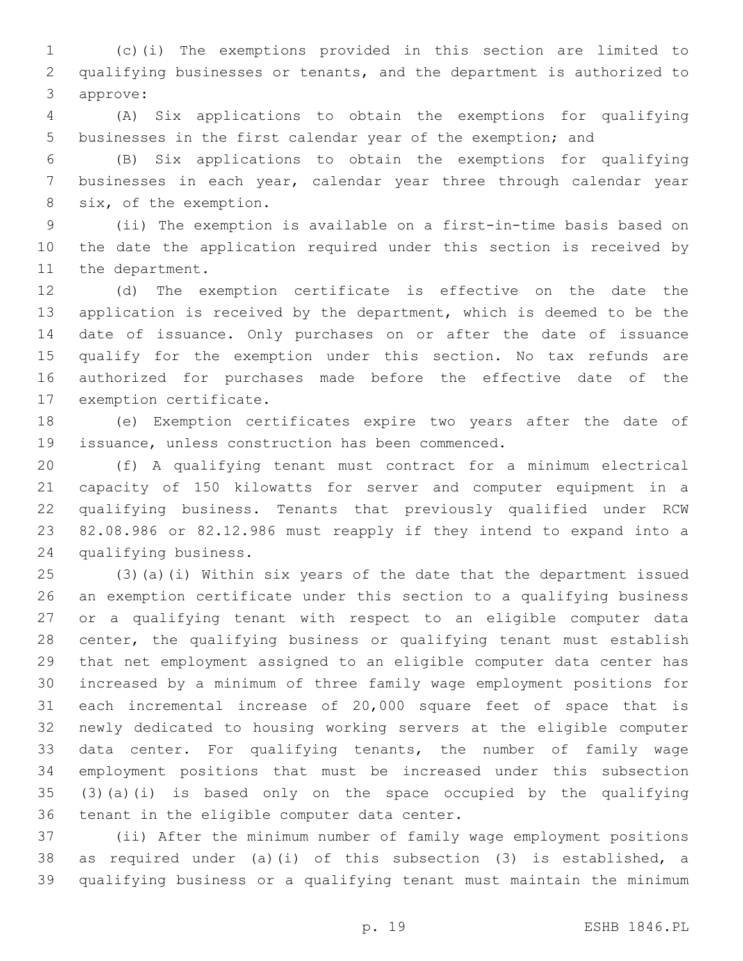(c)(i) The exemptions provided in this section are limited to qualifying businesses or tenants, and the department is authorized to 3 approve:

 (A) Six applications to obtain the exemptions for qualifying businesses in the first calendar year of the exemption; and

 (B) Six applications to obtain the exemptions for qualifying businesses in each year, calendar year three through calendar year 8 six, of the exemption.

 (ii) The exemption is available on a first-in-time basis based on the date the application required under this section is received by 11 the department.

 (d) The exemption certificate is effective on the date the application is received by the department, which is deemed to be the date of issuance. Only purchases on or after the date of issuance qualify for the exemption under this section. No tax refunds are authorized for purchases made before the effective date of the 17 exemption certificate.

 (e) Exemption certificates expire two years after the date of 19 issuance, unless construction has been commenced.

 (f) A qualifying tenant must contract for a minimum electrical capacity of 150 kilowatts for server and computer equipment in a qualifying business. Tenants that previously qualified under RCW 82.08.986 or 82.12.986 must reapply if they intend to expand into a qualifying business.24

 (3)(a)(i) Within six years of the date that the department issued an exemption certificate under this section to a qualifying business or a qualifying tenant with respect to an eligible computer data center, the qualifying business or qualifying tenant must establish that net employment assigned to an eligible computer data center has increased by a minimum of three family wage employment positions for each incremental increase of 20,000 square feet of space that is newly dedicated to housing working servers at the eligible computer data center. For qualifying tenants, the number of family wage employment positions that must be increased under this subsection (3)(a)(i) is based only on the space occupied by the qualifying 36 tenant in the eligible computer data center.

 (ii) After the minimum number of family wage employment positions as required under (a)(i) of this subsection (3) is established, a qualifying business or a qualifying tenant must maintain the minimum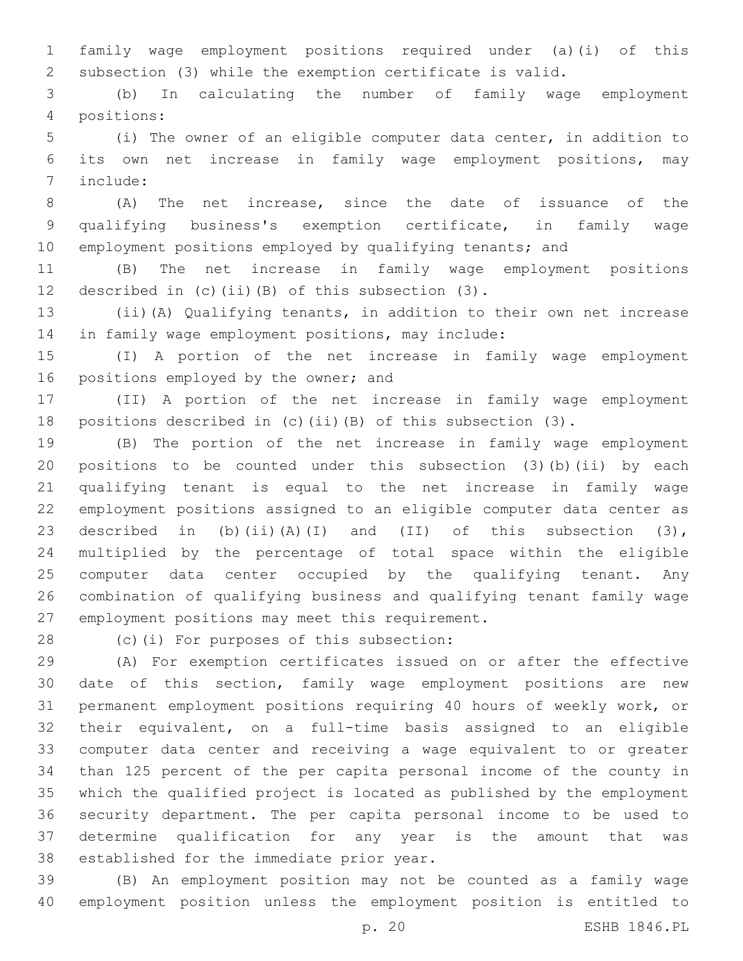family wage employment positions required under (a)(i) of this subsection (3) while the exemption certificate is valid.

 (b) In calculating the number of family wage employment positions:4

 (i) The owner of an eligible computer data center, in addition to its own net increase in family wage employment positions, may 7 include:

 (A) The net increase, since the date of issuance of the qualifying business's exemption certificate, in family wage employment positions employed by qualifying tenants; and

 (B) The net increase in family wage employment positions 12 described in (c)(ii)(B) of this subsection  $(3)$ .

 (ii)(A) Qualifying tenants, in addition to their own net increase 14 in family wage employment positions, may include:

 (I) A portion of the net increase in family wage employment 16 positions employed by the owner; and

 (II) A portion of the net increase in family wage employment positions described in (c)(ii)(B) of this subsection (3).

 (B) The portion of the net increase in family wage employment positions to be counted under this subsection (3)(b)(ii) by each qualifying tenant is equal to the net increase in family wage employment positions assigned to an eligible computer data center as 23 described in (b)(ii)(A)(I) and (II) of this subsection  $(3)$ , multiplied by the percentage of total space within the eligible 25 computer data center occupied by the qualifying tenant. Any combination of qualifying business and qualifying tenant family wage 27 employment positions may meet this requirement.

28 (c)(i) For purposes of this subsection:

 (A) For exemption certificates issued on or after the effective date of this section, family wage employment positions are new permanent employment positions requiring 40 hours of weekly work, or their equivalent, on a full-time basis assigned to an eligible computer data center and receiving a wage equivalent to or greater than 125 percent of the per capita personal income of the county in which the qualified project is located as published by the employment security department. The per capita personal income to be used to determine qualification for any year is the amount that was 38 established for the immediate prior year.

 (B) An employment position may not be counted as a family wage employment position unless the employment position is entitled to

p. 20 ESHB 1846.PL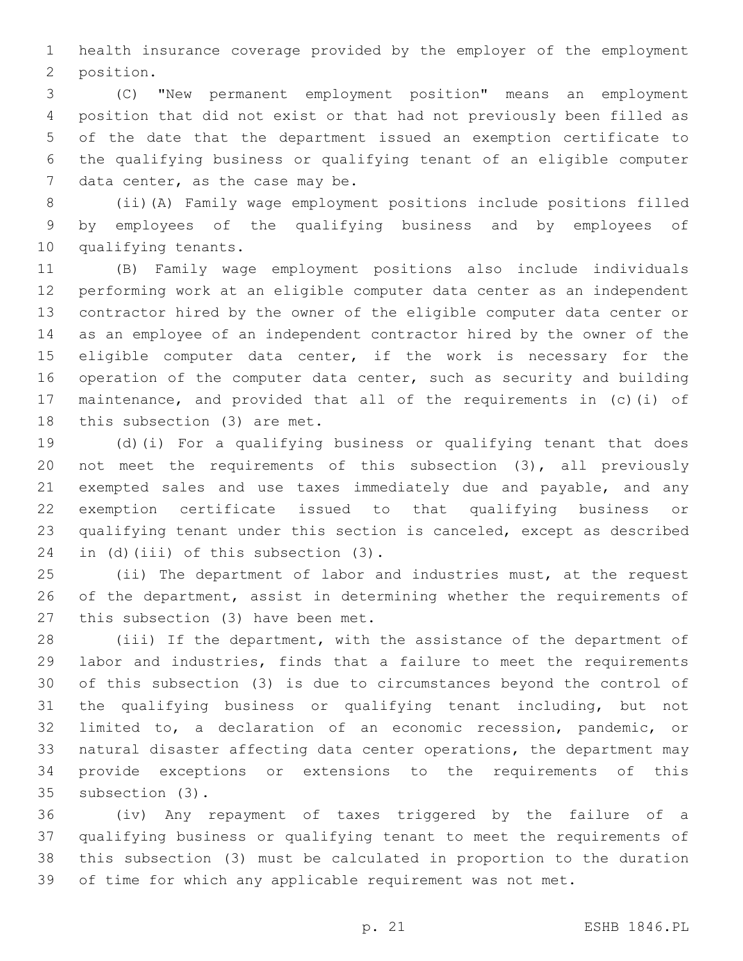health insurance coverage provided by the employer of the employment 2 position.

 (C) "New permanent employment position" means an employment position that did not exist or that had not previously been filled as of the date that the department issued an exemption certificate to the qualifying business or qualifying tenant of an eligible computer 7 data center, as the case may be.

 (ii)(A) Family wage employment positions include positions filled by employees of the qualifying business and by employees of 10 qualifying tenants.

 (B) Family wage employment positions also include individuals performing work at an eligible computer data center as an independent contractor hired by the owner of the eligible computer data center or as an employee of an independent contractor hired by the owner of the 15 eligible computer data center, if the work is necessary for the operation of the computer data center, such as security and building maintenance, and provided that all of the requirements in (c)(i) of 18 this subsection  $(3)$  are met.

 (d)(i) For a qualifying business or qualifying tenant that does not meet the requirements of this subsection (3), all previously 21 exempted sales and use taxes immediately due and payable, and any exemption certificate issued to that qualifying business or qualifying tenant under this section is canceled, except as described 24 in (d)(iii) of this subsection  $(3)$ .

 (ii) The department of labor and industries must, at the request of the department, assist in determining whether the requirements of 27 this subsection (3) have been met.

 (iii) If the department, with the assistance of the department of labor and industries, finds that a failure to meet the requirements of this subsection (3) is due to circumstances beyond the control of the qualifying business or qualifying tenant including, but not limited to, a declaration of an economic recession, pandemic, or natural disaster affecting data center operations, the department may provide exceptions or extensions to the requirements of this 35 subsection (3).

 (iv) Any repayment of taxes triggered by the failure of a qualifying business or qualifying tenant to meet the requirements of this subsection (3) must be calculated in proportion to the duration of time for which any applicable requirement was not met.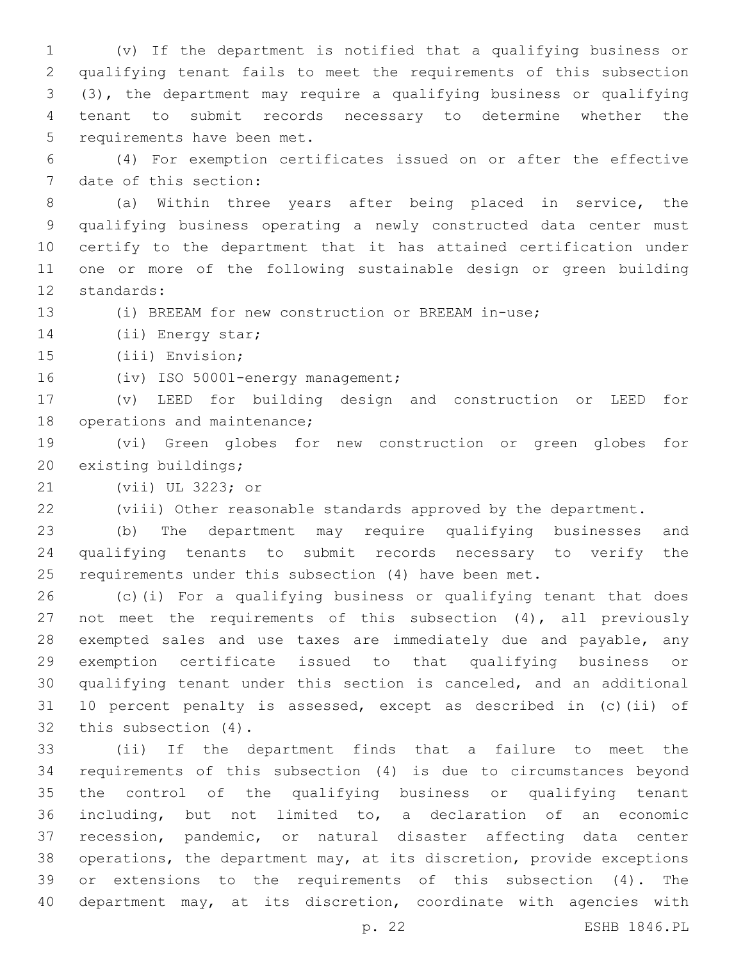(v) If the department is notified that a qualifying business or qualifying tenant fails to meet the requirements of this subsection (3), the department may require a qualifying business or qualifying tenant to submit records necessary to determine whether the 5 requirements have been met.

 (4) For exemption certificates issued on or after the effective 7 date of this section:

 (a) Within three years after being placed in service, the qualifying business operating a newly constructed data center must certify to the department that it has attained certification under one or more of the following sustainable design or green building 12 standards:

(i) BREEAM for new construction or BREEAM in-use;

14 (ii) Energy star;

15 (iii) Envision;

16 (iv) ISO 50001-energy management;

 (v) LEED for building design and construction or LEED for 18 operations and maintenance;

 (vi) Green globes for new construction or green globes for 20 existing buildings;

21 (vii) UL 3223; or

(viii) Other reasonable standards approved by the department.

 (b) The department may require qualifying businesses and qualifying tenants to submit records necessary to verify the requirements under this subsection (4) have been met.

 (c)(i) For a qualifying business or qualifying tenant that does not meet the requirements of this subsection (4), all previously 28 exempted sales and use taxes are immediately due and payable, any exemption certificate issued to that qualifying business or qualifying tenant under this section is canceled, and an additional 10 percent penalty is assessed, except as described in (c)(ii) of 32 this subsection (4).

 (ii) If the department finds that a failure to meet the requirements of this subsection (4) is due to circumstances beyond the control of the qualifying business or qualifying tenant including, but not limited to, a declaration of an economic recession, pandemic, or natural disaster affecting data center operations, the department may, at its discretion, provide exceptions or extensions to the requirements of this subsection (4). The department may, at its discretion, coordinate with agencies with

p. 22 ESHB 1846.PL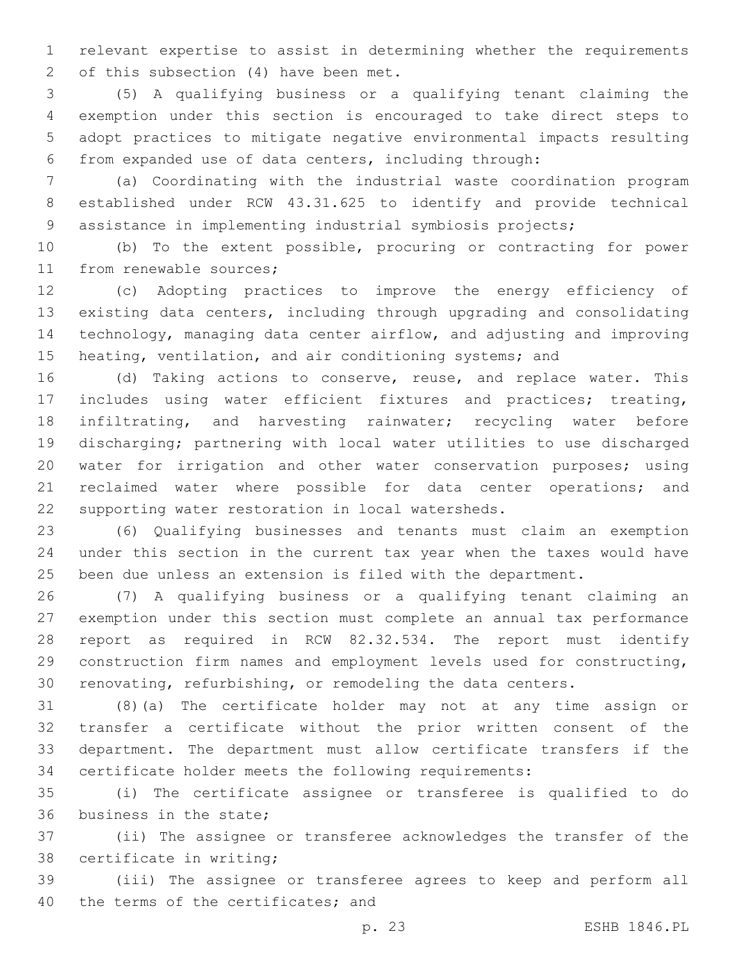relevant expertise to assist in determining whether the requirements 2 of this subsection  $(4)$  have been met.

 (5) A qualifying business or a qualifying tenant claiming the exemption under this section is encouraged to take direct steps to adopt practices to mitigate negative environmental impacts resulting from expanded use of data centers, including through:

 (a) Coordinating with the industrial waste coordination program established under RCW 43.31.625 to identify and provide technical assistance in implementing industrial symbiosis projects;

 (b) To the extent possible, procuring or contracting for power 11 from renewable sources;

 (c) Adopting practices to improve the energy efficiency of existing data centers, including through upgrading and consolidating technology, managing data center airflow, and adjusting and improving heating, ventilation, and air conditioning systems; and

 (d) Taking actions to conserve, reuse, and replace water. This includes using water efficient fixtures and practices; treating, infiltrating, and harvesting rainwater; recycling water before discharging; partnering with local water utilities to use discharged water for irrigation and other water conservation purposes; using 21 reclaimed water where possible for data center operations; and 22 supporting water restoration in local watersheds.

 (6) Qualifying businesses and tenants must claim an exemption under this section in the current tax year when the taxes would have been due unless an extension is filed with the department.

 (7) A qualifying business or a qualifying tenant claiming an exemption under this section must complete an annual tax performance report as required in RCW 82.32.534. The report must identify construction firm names and employment levels used for constructing, renovating, refurbishing, or remodeling the data centers.

 (8)(a) The certificate holder may not at any time assign or transfer a certificate without the prior written consent of the department. The department must allow certificate transfers if the certificate holder meets the following requirements:

 (i) The certificate assignee or transferee is qualified to do 36 business in the state;

 (ii) The assignee or transferee acknowledges the transfer of the 38 certificate in writing;

 (iii) The assignee or transferee agrees to keep and perform all 40 the terms of the certificates; and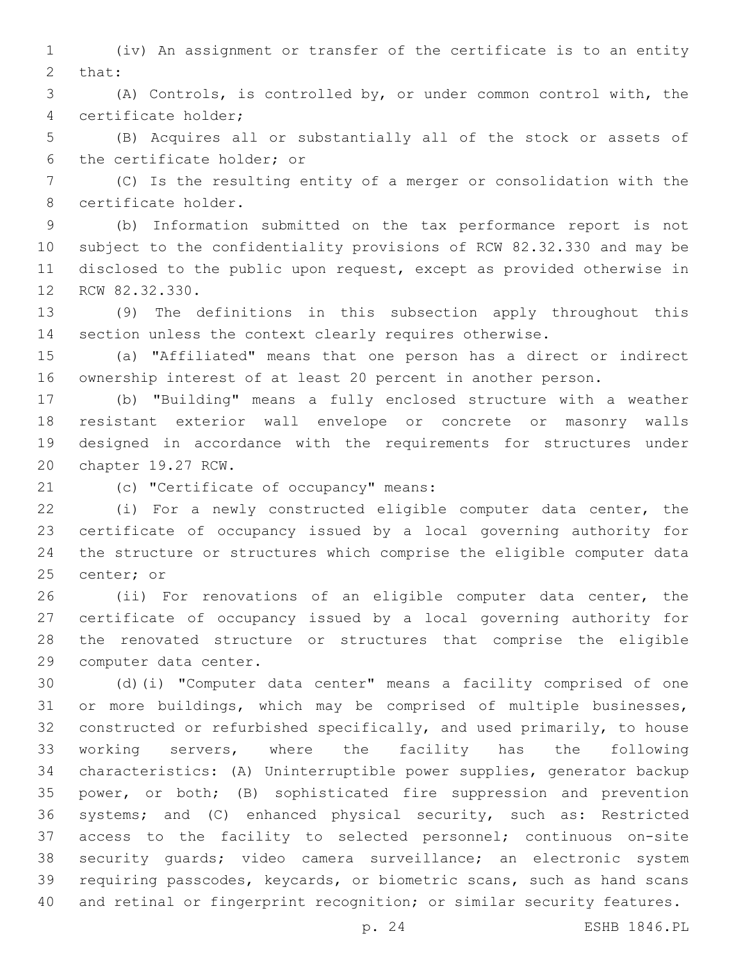(iv) An assignment or transfer of the certificate is to an entity 2 that:

 (A) Controls, is controlled by, or under common control with, the certificate holder;4

 (B) Acquires all or substantially all of the stock or assets of 6 the certificate holder; or

 (C) Is the resulting entity of a merger or consolidation with the 8 certificate holder.

 (b) Information submitted on the tax performance report is not subject to the confidentiality provisions of RCW 82.32.330 and may be disclosed to the public upon request, except as provided otherwise in 12 RCW 82.32.330.

 (9) The definitions in this subsection apply throughout this section unless the context clearly requires otherwise.

 (a) "Affiliated" means that one person has a direct or indirect ownership interest of at least 20 percent in another person.

 (b) "Building" means a fully enclosed structure with a weather resistant exterior wall envelope or concrete or masonry walls designed in accordance with the requirements for structures under 20 chapter 19.27 RCW.

21 (c) "Certificate of occupancy" means:

 (i) For a newly constructed eligible computer data center, the certificate of occupancy issued by a local governing authority for the structure or structures which comprise the eligible computer data 25 center; or

 (ii) For renovations of an eligible computer data center, the certificate of occupancy issued by a local governing authority for the renovated structure or structures that comprise the eligible 29 computer data center.

 (d)(i) "Computer data center" means a facility comprised of one or more buildings, which may be comprised of multiple businesses, constructed or refurbished specifically, and used primarily, to house working servers, where the facility has the following characteristics: (A) Uninterruptible power supplies, generator backup power, or both; (B) sophisticated fire suppression and prevention systems; and (C) enhanced physical security, such as: Restricted access to the facility to selected personnel; continuous on-site security guards; video camera surveillance; an electronic system requiring passcodes, keycards, or biometric scans, such as hand scans and retinal or fingerprint recognition; or similar security features.

p. 24 ESHB 1846.PL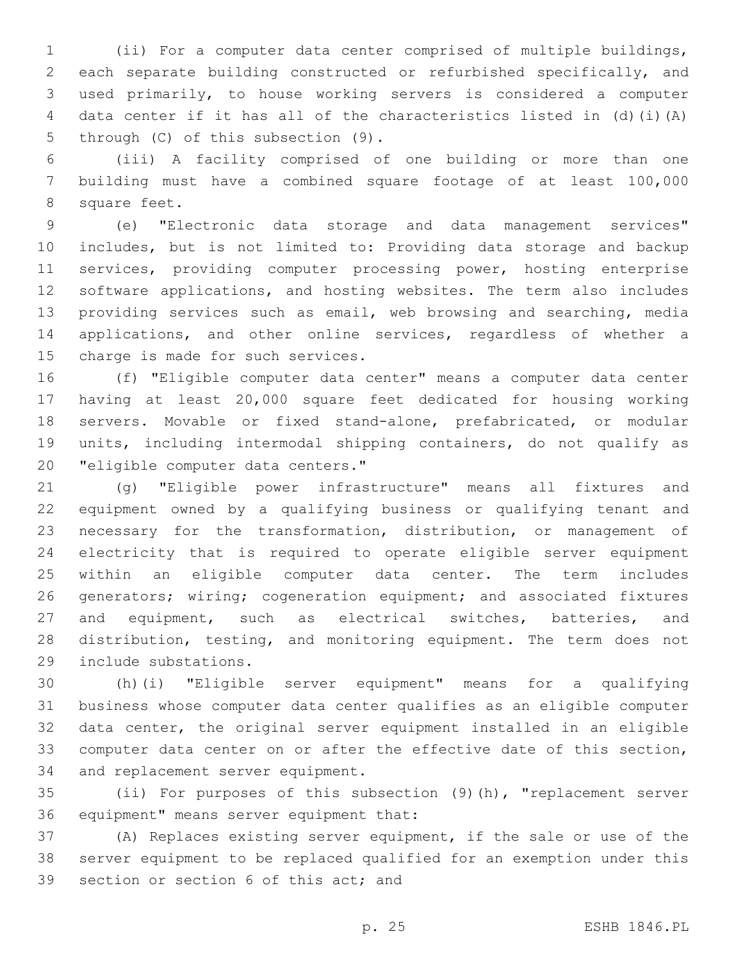(ii) For a computer data center comprised of multiple buildings, each separate building constructed or refurbished specifically, and used primarily, to house working servers is considered a computer data center if it has all of the characteristics listed in (d)(i)(A) 5 through (C) of this subsection (9).

 (iii) A facility comprised of one building or more than one building must have a combined square footage of at least 100,000 8 square feet.

 (e) "Electronic data storage and data management services" includes, but is not limited to: Providing data storage and backup 11 services, providing computer processing power, hosting enterprise software applications, and hosting websites. The term also includes providing services such as email, web browsing and searching, media applications, and other online services, regardless of whether a 15 charge is made for such services.

 (f) "Eligible computer data center" means a computer data center having at least 20,000 square feet dedicated for housing working servers. Movable or fixed stand-alone, prefabricated, or modular units, including intermodal shipping containers, do not qualify as 20 "eligible computer data centers."

 (g) "Eligible power infrastructure" means all fixtures and equipment owned by a qualifying business or qualifying tenant and necessary for the transformation, distribution, or management of electricity that is required to operate eligible server equipment within an eligible computer data center. The term includes generators; wiring; cogeneration equipment; and associated fixtures and equipment, such as electrical switches, batteries, and distribution, testing, and monitoring equipment. The term does not 29 include substations.

 (h)(i) "Eligible server equipment" means for a qualifying business whose computer data center qualifies as an eligible computer data center, the original server equipment installed in an eligible computer data center on or after the effective date of this section, 34 and replacement server equipment.

 (ii) For purposes of this subsection (9)(h), "replacement server 36 equipment" means server equipment that:

 (A) Replaces existing server equipment, if the sale or use of the server equipment to be replaced qualified for an exemption under this 39 section or section 6 of this act; and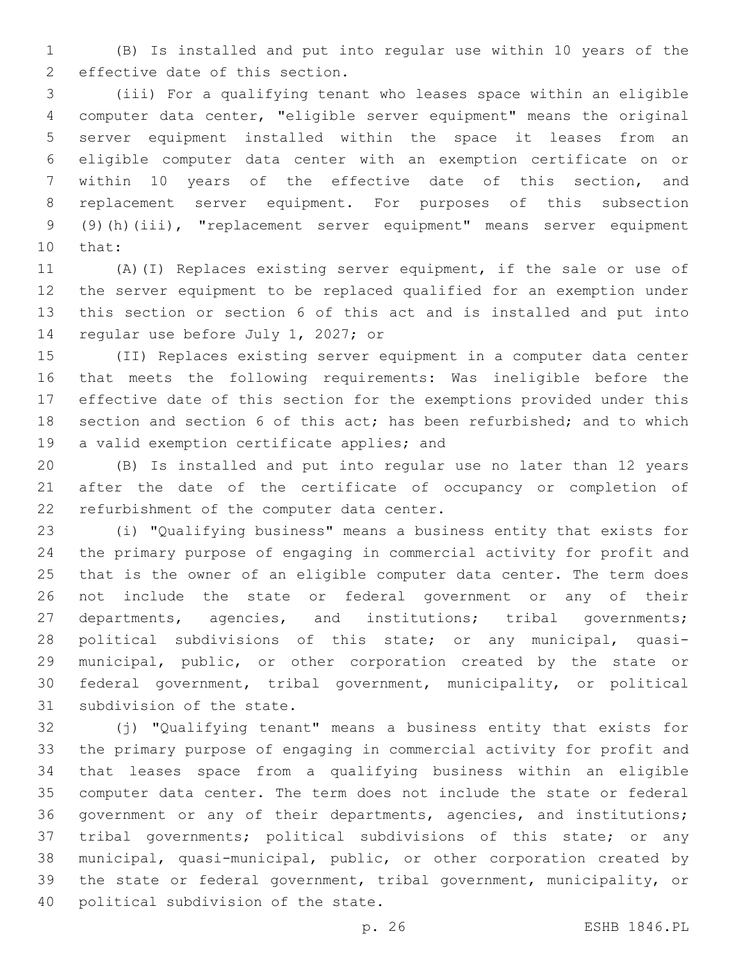(B) Is installed and put into regular use within 10 years of the 2 effective date of this section.

 (iii) For a qualifying tenant who leases space within an eligible computer data center, "eligible server equipment" means the original server equipment installed within the space it leases from an eligible computer data center with an exemption certificate on or within 10 years of the effective date of this section, and replacement server equipment. For purposes of this subsection (9)(h)(iii), "replacement server equipment" means server equipment 10 that:

 (A)(I) Replaces existing server equipment, if the sale or use of the server equipment to be replaced qualified for an exemption under this section or section 6 of this act and is installed and put into 14 regular use before July 1, 2027; or

 (II) Replaces existing server equipment in a computer data center that meets the following requirements: Was ineligible before the effective date of this section for the exemptions provided under this section and section 6 of this act; has been refurbished; and to which 19 a valid exemption certificate applies; and

 (B) Is installed and put into regular use no later than 12 years after the date of the certificate of occupancy or completion of 22 refurbishment of the computer data center.

 (i) "Qualifying business" means a business entity that exists for the primary purpose of engaging in commercial activity for profit and that is the owner of an eligible computer data center. The term does not include the state or federal government or any of their 27 departments, agencies, and institutions; tribal governments; political subdivisions of this state; or any municipal, quasi- municipal, public, or other corporation created by the state or federal government, tribal government, municipality, or political 31 subdivision of the state.

 (j) "Qualifying tenant" means a business entity that exists for the primary purpose of engaging in commercial activity for profit and that leases space from a qualifying business within an eligible computer data center. The term does not include the state or federal government or any of their departments, agencies, and institutions; tribal governments; political subdivisions of this state; or any municipal, quasi-municipal, public, or other corporation created by the state or federal government, tribal government, municipality, or 40 political subdivision of the state.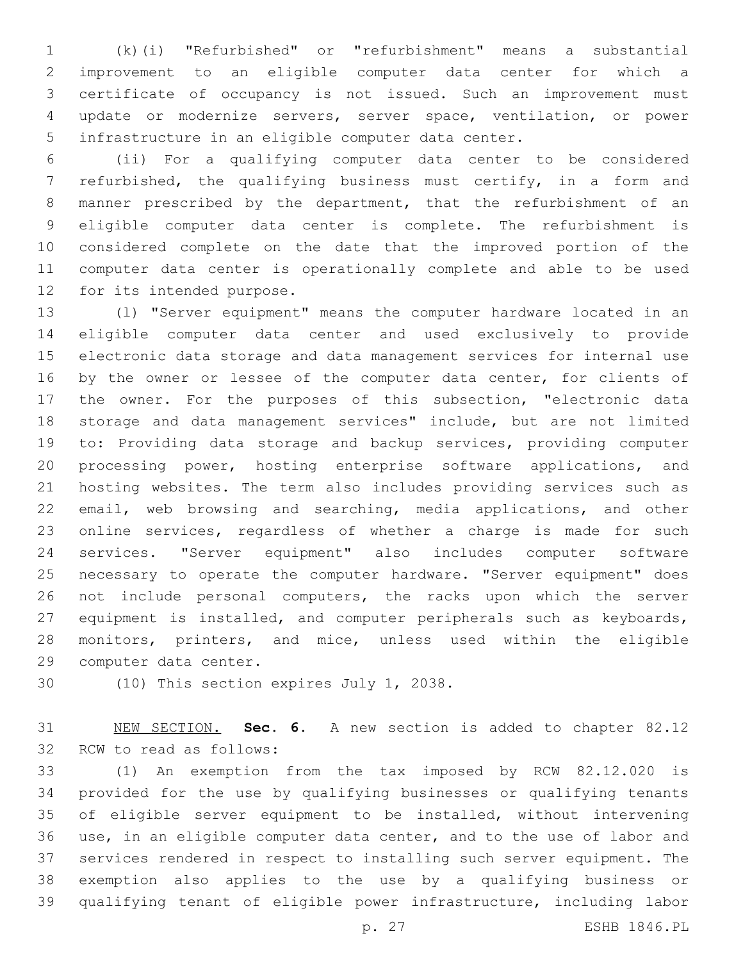(k)(i) "Refurbished" or "refurbishment" means a substantial improvement to an eligible computer data center for which a certificate of occupancy is not issued. Such an improvement must update or modernize servers, server space, ventilation, or power infrastructure in an eligible computer data center.

 (ii) For a qualifying computer data center to be considered refurbished, the qualifying business must certify, in a form and manner prescribed by the department, that the refurbishment of an eligible computer data center is complete. The refurbishment is considered complete on the date that the improved portion of the computer data center is operationally complete and able to be used 12 for its intended purpose.

 (l) "Server equipment" means the computer hardware located in an eligible computer data center and used exclusively to provide electronic data storage and data management services for internal use 16 by the owner or lessee of the computer data center, for clients of the owner. For the purposes of this subsection, "electronic data storage and data management services" include, but are not limited to: Providing data storage and backup services, providing computer processing power, hosting enterprise software applications, and hosting websites. The term also includes providing services such as email, web browsing and searching, media applications, and other online services, regardless of whether a charge is made for such services. "Server equipment" also includes computer software necessary to operate the computer hardware. "Server equipment" does not include personal computers, the racks upon which the server equipment is installed, and computer peripherals such as keyboards, monitors, printers, and mice, unless used within the eligible 29 computer data center.

30 (10) This section expires July 1, 2038.

 NEW SECTION. **Sec. 6.** A new section is added to chapter 82.12 32 RCW to read as follows:

 (1) An exemption from the tax imposed by RCW 82.12.020 is provided for the use by qualifying businesses or qualifying tenants of eligible server equipment to be installed, without intervening use, in an eligible computer data center, and to the use of labor and services rendered in respect to installing such server equipment. The exemption also applies to the use by a qualifying business or qualifying tenant of eligible power infrastructure, including labor

p. 27 ESHB 1846.PL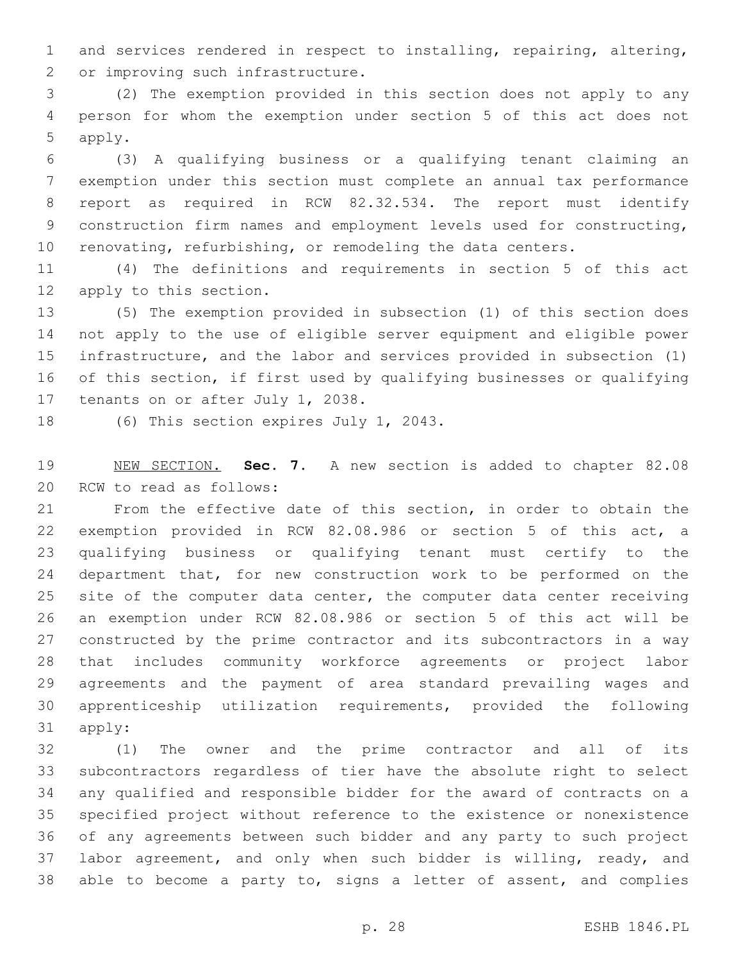and services rendered in respect to installing, repairing, altering, 2 or improving such infrastructure.

 (2) The exemption provided in this section does not apply to any person for whom the exemption under section 5 of this act does not 5 apply.

 (3) A qualifying business or a qualifying tenant claiming an exemption under this section must complete an annual tax performance report as required in RCW 82.32.534. The report must identify construction firm names and employment levels used for constructing, renovating, refurbishing, or remodeling the data centers.

 (4) The definitions and requirements in section 5 of this act 12 apply to this section.

 (5) The exemption provided in subsection (1) of this section does not apply to the use of eligible server equipment and eligible power infrastructure, and the labor and services provided in subsection (1) of this section, if first used by qualifying businesses or qualifying 17 tenants on or after July 1, 2038.

18 (6) This section expires July 1, 2043.

 NEW SECTION. **Sec. 7.** A new section is added to chapter 82.08 20 RCW to read as follows:

 From the effective date of this section, in order to obtain the exemption provided in RCW 82.08.986 or section 5 of this act, a qualifying business or qualifying tenant must certify to the department that, for new construction work to be performed on the site of the computer data center, the computer data center receiving an exemption under RCW 82.08.986 or section 5 of this act will be constructed by the prime contractor and its subcontractors in a way that includes community workforce agreements or project labor agreements and the payment of area standard prevailing wages and apprenticeship utilization requirements, provided the following 31 apply:

 (1) The owner and the prime contractor and all of its subcontractors regardless of tier have the absolute right to select any qualified and responsible bidder for the award of contracts on a specified project without reference to the existence or nonexistence of any agreements between such bidder and any party to such project 37 labor agreement, and only when such bidder is willing, ready, and able to become a party to, signs a letter of assent, and complies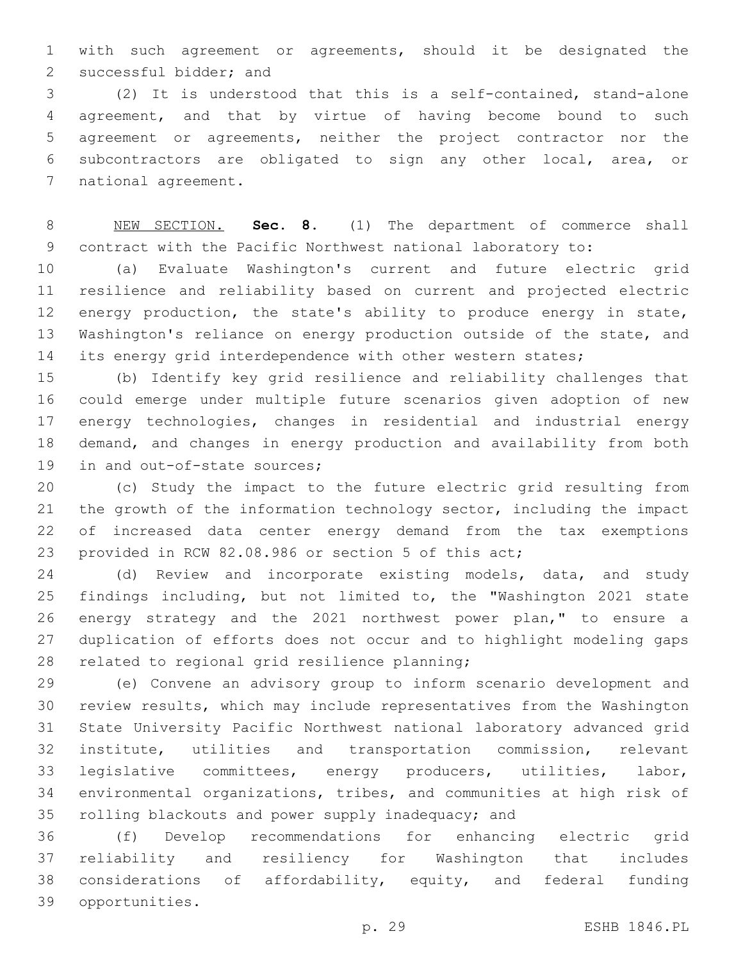with such agreement or agreements, should it be designated the 2 successful bidder; and

 (2) It is understood that this is a self-contained, stand-alone agreement, and that by virtue of having become bound to such agreement or agreements, neither the project contractor nor the subcontractors are obligated to sign any other local, area, or 7 national agreement.

 NEW SECTION. **Sec. 8.** (1) The department of commerce shall contract with the Pacific Northwest national laboratory to:

 (a) Evaluate Washington's current and future electric grid resilience and reliability based on current and projected electric energy production, the state's ability to produce energy in state, Washington's reliance on energy production outside of the state, and 14 its energy grid interdependence with other western states;

 (b) Identify key grid resilience and reliability challenges that could emerge under multiple future scenarios given adoption of new energy technologies, changes in residential and industrial energy demand, and changes in energy production and availability from both 19 in and out-of-state sources;

 (c) Study the impact to the future electric grid resulting from the growth of the information technology sector, including the impact of increased data center energy demand from the tax exemptions provided in RCW 82.08.986 or section 5 of this act;

 (d) Review and incorporate existing models, data, and study findings including, but not limited to, the "Washington 2021 state energy strategy and the 2021 northwest power plan," to ensure a duplication of efforts does not occur and to highlight modeling gaps 28 related to regional grid resilience planning;

 (e) Convene an advisory group to inform scenario development and review results, which may include representatives from the Washington State University Pacific Northwest national laboratory advanced grid institute, utilities and transportation commission, relevant legislative committees, energy producers, utilities, labor, environmental organizations, tribes, and communities at high risk of rolling blackouts and power supply inadequacy; and

 (f) Develop recommendations for enhancing electric grid reliability and resiliency for Washington that includes considerations of affordability, equity, and federal funding opportunities.39